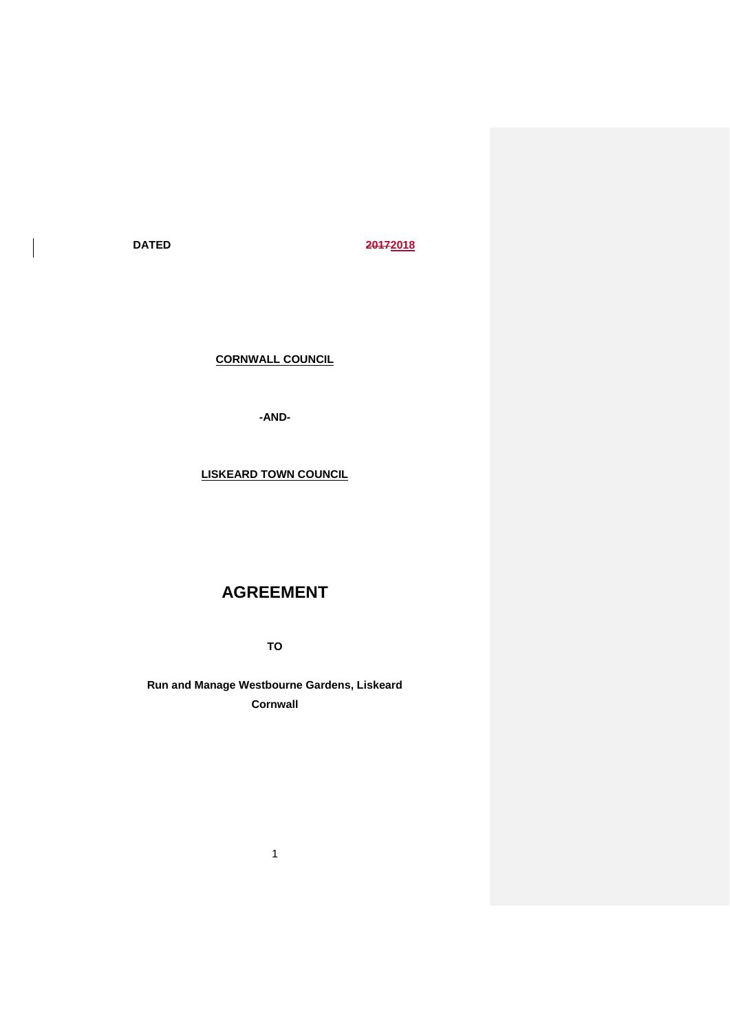$\overline{\phantom{a}}$ 

**DATED 20172018**

**CORNWALL COUNCIL**

**-AND-**

**LISKEARD TOWN COUNCIL**

# **AGREEMENT**

**TO**

**Run and Manage Westbourne Gardens, Liskeard Cornwall**

1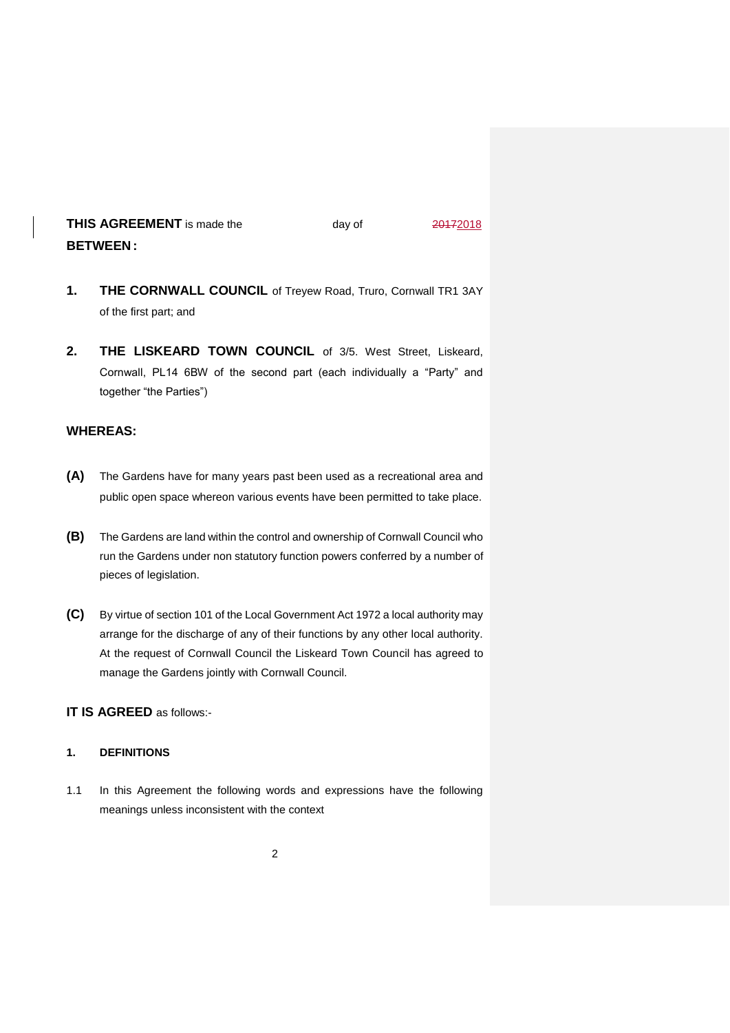# **THIS AGREEMENT** is made the day of 20172018 **BETWEEN :**

- **1. THE CORNWALL COUNCIL** of Treyew Road, Truro, Cornwall TR1 3AY of the first part; and
- **2. THE LISKEARD TOWN COUNCIL** of 3/5. West Street, Liskeard, Cornwall, PL14 6BW of the second part (each individually a "Party" and together "the Parties")

# **WHEREAS:**

- **(A)** The Gardens have for many years past been used as a recreational area and public open space whereon various events have been permitted to take place.
- **(B)** The Gardens are land within the control and ownership of Cornwall Council who run the Gardens under non statutory function powers conferred by a number of pieces of legislation.
- **(C)** By virtue of section 101 of the Local Government Act 1972 a local authority may arrange for the discharge of any of their functions by any other local authority. At the request of Cornwall Council the Liskeard Town Council has agreed to manage the Gardens jointly with Cornwall Council.

# **IT IS AGREED** as follows:-

### **1. DEFINITIONS**

1.1 In this Agreement the following words and expressions have the following meanings unless inconsistent with the context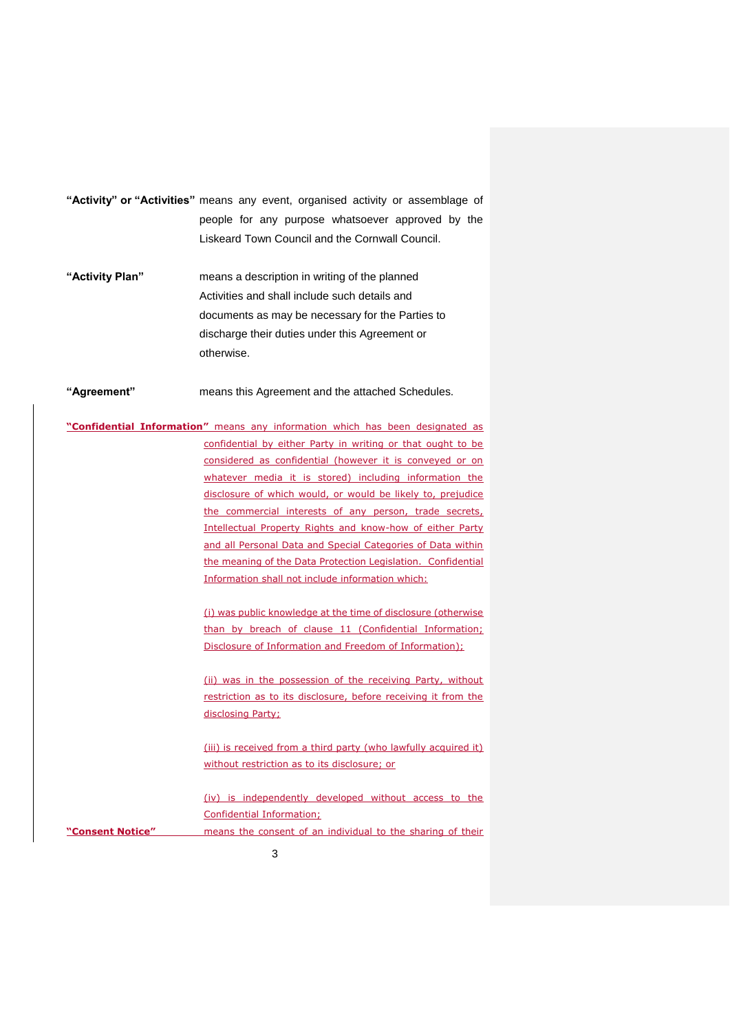- **"Activity" or "Activities"** means any event, organised activity or assemblage of people for any purpose whatsoever approved by the Liskeard Town Council and the Cornwall Council.
- **"Activity Plan"** means a description in writing of the planned Activities and shall include such details and documents as may be necessary for the Parties to discharge their duties under this Agreement or otherwise.
- **"Agreement"** means this Agreement and the attached Schedules.
- **"Confidential Information"** means any information which has been designated as confidential by either Party in writing or that ought to be considered as confidential (however it is conveyed or on whatever media it is stored) including information the disclosure of which would, or would be likely to, prejudice the commercial interests of any person, trade secrets, Intellectual Property Rights and know-how of either Party and all Personal Data and Special Categories of Data within the meaning of the Data Protection Legislation. Confidential Information shall not include information which:
	- (i) was public knowledge at the time of disclosure (otherwise than by breach of clause 11 (Confidential Information; Disclosure of Information and Freedom of Information);
	- (ii) was in the possession of the receiving Party, without restriction as to its disclosure, before receiving it from the disclosing Party;
	- (iii) is received from a third party (who lawfully acquired it) without restriction as to its disclosure; or
- (iv) is independently developed without access to the Confidential Information; **"Consent Notice"** means the consent of an individual to the sharing of their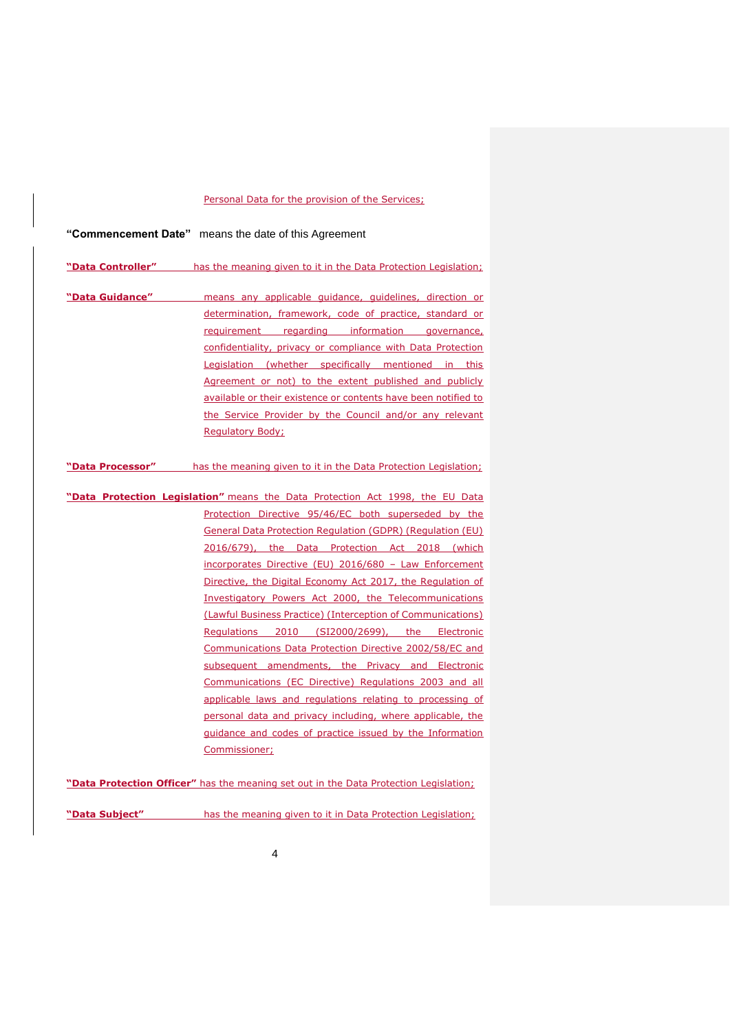#### Personal Data for the provision of the Services;

# **"Commencement Date"** means the date of this Agreement

| "Data Controller" | has the meaning given to it in the Data Protection Legislation;               |
|-------------------|-------------------------------------------------------------------------------|
|                   |                                                                               |
| "Data Guidance"   | means any applicable guidance, guidelines, direction or                       |
|                   | determination, framework, code of practice, standard or                       |
|                   | requirement regarding information governance,                                 |
|                   | confidentiality, privacy or compliance with Data Protection                   |
|                   | Legislation (whether specifically mentioned in this                           |
|                   | Agreement or not) to the extent published and publicly                        |
|                   | available or their existence or contents have been notified to                |
|                   | the Service Provider by the Council and/or any relevant                       |
|                   | <b>Regulatory Body:</b>                                                       |
|                   |                                                                               |
| "Data Processor"  | has the meaning given to it in the Data Protection Legislation;               |
|                   |                                                                               |
|                   | "Data Protection Legislation" means the Data Protection Act 1998, the EU Data |
|                   | Protection Directive 95/46/EC both superseded by the                          |
|                   | <b>General Data Protection Regulation (GDPR) (Regulation (EU)</b>             |
|                   | 2016/679), the Data Protection Act 2018 (which                                |
|                   | incorporates Directive (EU) 2016/680 - Law Enforcement                        |
|                   | Directive, the Digital Economy Act 2017, the Regulation of                    |
|                   | Investigatory Powers Act 2000, the Telecommunications                         |
|                   | (Lawful Business Practice) (Interception of Communications)                   |
|                   | Regulations 2010 (SI2000/2699), the Electronic                                |
|                   | Communications Data Protection Directive 2002/58/EC and                       |
|                   | subsequent amendments, the Privacy and Electronic                             |
|                   | Communications (EC Directive) Regulations 2003 and all                        |
|                   | applicable laws and regulations relating to processing of                     |
|                   | personal data and privacy including, where applicable, the                    |
|                   | <u>quidance and codes of practice issued by the Information</u>               |
|                   | Commissioner;                                                                 |
|                   |                                                                               |

**"Data Protection Officer"** has the meaning set out in the Data Protection Legislation;

4

**"Data Subject"** has the meaning given to it in Data Protection Legislation;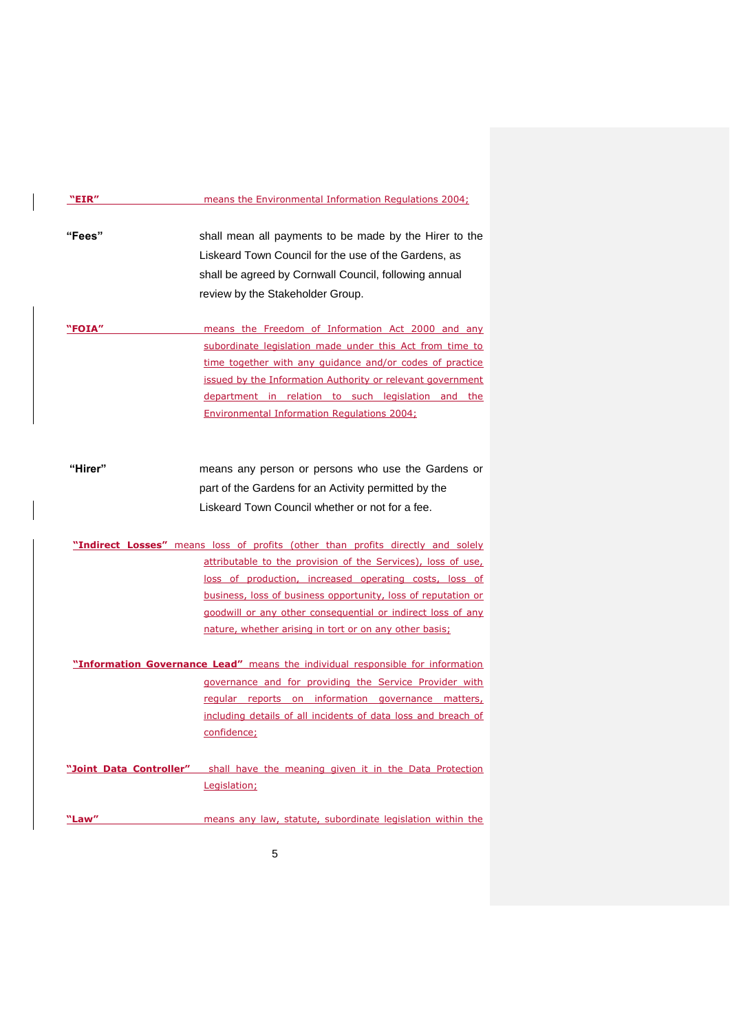| "EIR"   | means the Environmental Information Regulations 2004;                                                                                                                                                                                                                                                                                                                                               |
|---------|-----------------------------------------------------------------------------------------------------------------------------------------------------------------------------------------------------------------------------------------------------------------------------------------------------------------------------------------------------------------------------------------------------|
| "Fees"  | shall mean all payments to be made by the Hirer to the<br>Liskeard Town Council for the use of the Gardens, as<br>shall be agreed by Cornwall Council, following annual<br>review by the Stakeholder Group.                                                                                                                                                                                         |
| "FOIA"  | means the Freedom of Information Act 2000 and any<br>subordinate legislation made under this Act from time to<br>time together with any quidance and/or codes of practice<br>issued by the Information Authority or relevant government<br>department in relation to such legislation and the<br>Environmental Information Regulations 2004;                                                        |
| "Hirer" | means any person or persons who use the Gardens or<br>part of the Gardens for an Activity permitted by the<br>Liskeard Town Council whether or not for a fee.                                                                                                                                                                                                                                       |
|         | "Indirect Losses" means loss of profits (other than profits directly and solely<br>attributable to the provision of the Services), loss of use,<br>loss of production, increased operating costs, loss of<br>business, loss of business opportunity, loss of reputation or<br>goodwill or any other consequential or indirect loss of any<br>nature, whether arising in tort or on any other basis; |
|         | "Information Governance Lead" means the individual responsible for information<br>governance and for providing the Service Provider with<br>regular reports on information governance matters,<br>including details of all incidents of data loss and breach of<br>confidence;                                                                                                                      |
|         | "Joint Data Controller" shall have the meaning given it in the Data Protection<br>Legislation;                                                                                                                                                                                                                                                                                                      |
| "Law"   | means any law, statute, subordinate legislation within the                                                                                                                                                                                                                                                                                                                                          |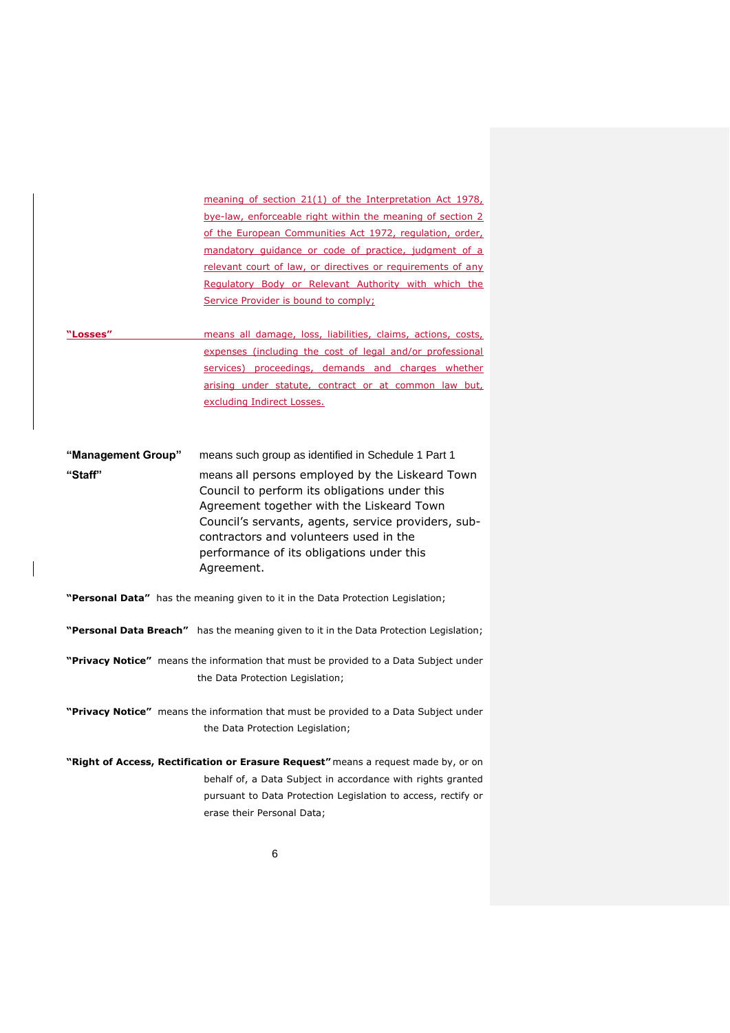meaning of section 21(1) of the Interpretation Act 1978, bye-law, enforceable right within the meaning of section 2 of the European Communities Act 1972, regulation, order, mandatory guidance or code of practice, judgment of a relevant court of law, or directives or requirements of any Regulatory Body or Relevant Authority with which the Service Provider is bound to comply;

**"Losses"** means all damage, loss, liabilities, claims, actions, costs, expenses (including the cost of legal and/or professional services) proceedings, demands and charges whether arising under statute, contract or at common law but, excluding Indirect Losses.

**"Management Group"** means such group as identified in Schedule 1 Part 1 **"Staff"** means all persons employed by the Liskeard Town Council to perform its obligations under this Agreement together with the Liskeard Town Council's servants, agents, service providers, subcontractors and volunteers used in the performance of its obligations under this Agreement.

- **"Personal Data"** has the meaning given to it in the Data Protection Legislation;
- **"Personal Data Breach"** has the meaning given to it in the Data Protection Legislation;
- **"Privacy Notice"** means the information that must be provided to a Data Subject under the Data Protection Legislation;
- **"Privacy Notice"** means the information that must be provided to a Data Subject under the Data Protection Legislation;
- **"Right of Access, Rectification or Erasure Request"** means a request made by, or on behalf of, a Data Subject in accordance with rights granted pursuant to Data Protection Legislation to access, rectify or erase their Personal Data;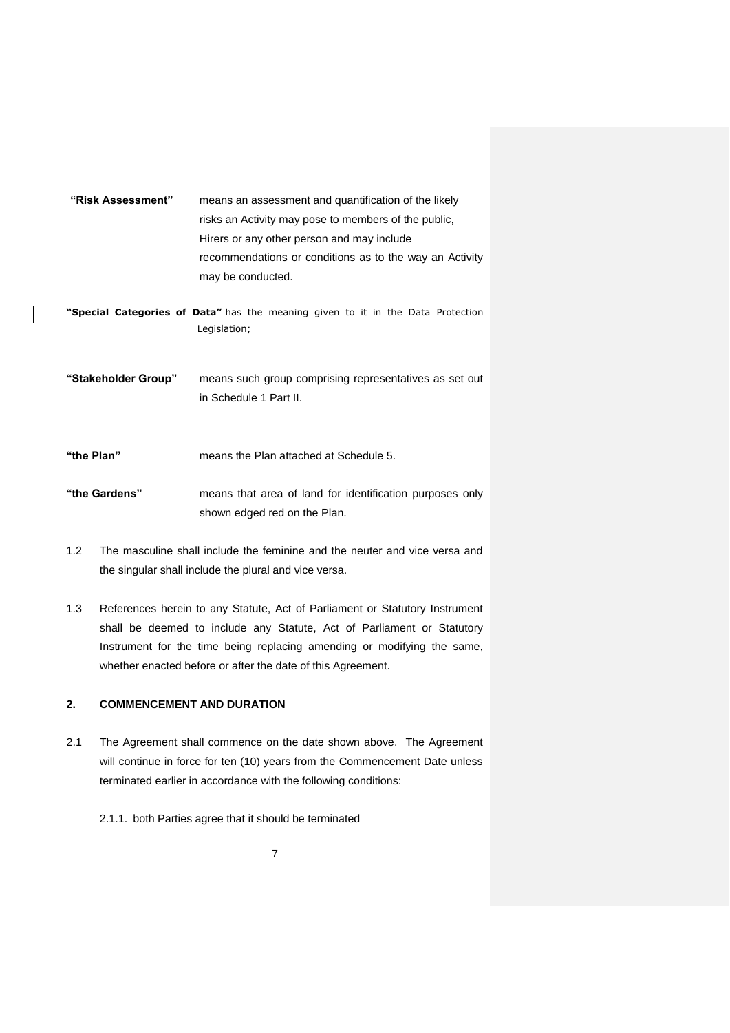| risks an Activity may pose to members of the public,<br>Hirers or any other person and may include<br>recommendations or conditions as to the way an Activity<br>may be conducted.<br>"Special Categories of Data" has the meaning given to it in the Data Protection<br>Legislation; |
|---------------------------------------------------------------------------------------------------------------------------------------------------------------------------------------------------------------------------------------------------------------------------------------|
|                                                                                                                                                                                                                                                                                       |
|                                                                                                                                                                                                                                                                                       |
|                                                                                                                                                                                                                                                                                       |
|                                                                                                                                                                                                                                                                                       |
|                                                                                                                                                                                                                                                                                       |
|                                                                                                                                                                                                                                                                                       |
|                                                                                                                                                                                                                                                                                       |
|                                                                                                                                                                                                                                                                                       |
| "Stakeholder Group"<br>means such group comprising representatives as set out                                                                                                                                                                                                         |
| in Schedule 1 Part II.                                                                                                                                                                                                                                                                |
|                                                                                                                                                                                                                                                                                       |
|                                                                                                                                                                                                                                                                                       |
| "the Plan"<br>means the Plan attached at Schedule 5.                                                                                                                                                                                                                                  |
|                                                                                                                                                                                                                                                                                       |
| "the Gardens"<br>means that area of land for identification purposes only                                                                                                                                                                                                             |
| shown edged red on the Plan.                                                                                                                                                                                                                                                          |

- 1.2 The masculine shall include the feminine and the neuter and vice versa and the singular shall include the plural and vice versa.
- 1.3 References herein to any Statute, Act of Parliament or Statutory Instrument shall be deemed to include any Statute, Act of Parliament or Statutory Instrument for the time being replacing amending or modifying the same, whether enacted before or after the date of this Agreement.

# **2. COMMENCEMENT AND DURATION**

- 2.1 The Agreement shall commence on the date shown above. The Agreement will continue in force for ten (10) years from the Commencement Date unless terminated earlier in accordance with the following conditions:
	- 2.1.1. both Parties agree that it should be terminated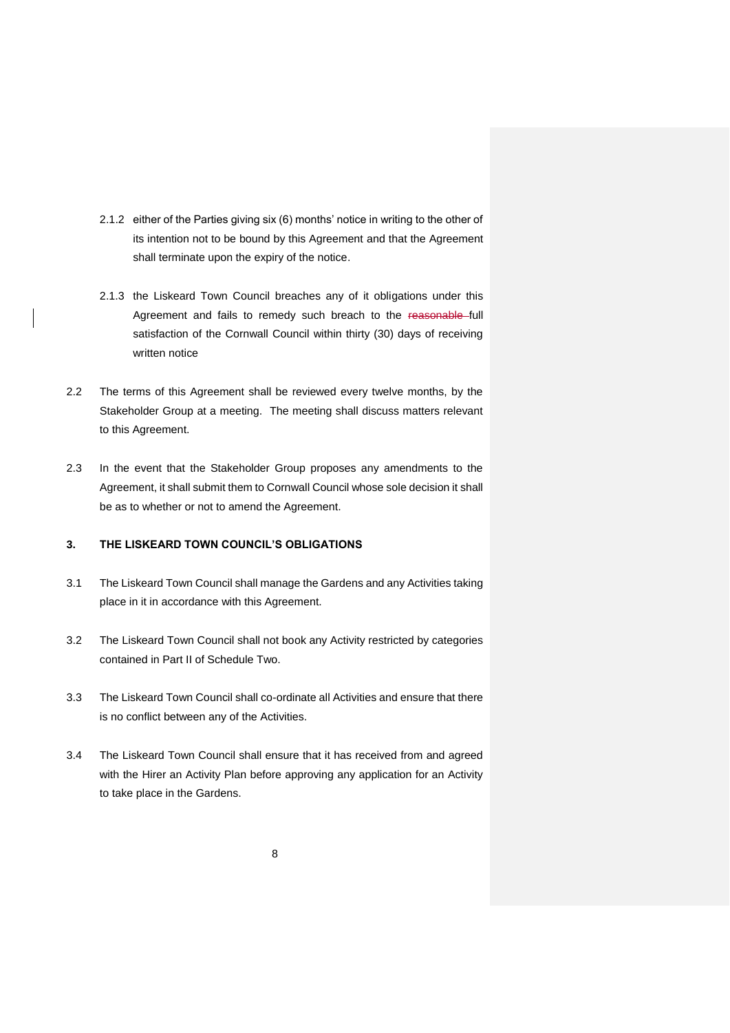- 2.1.2 either of the Parties giving six (6) months' notice in writing to the other of its intention not to be bound by this Agreement and that the Agreement shall terminate upon the expiry of the notice.
- 2.1.3 the Liskeard Town Council breaches any of it obligations under this Agreement and fails to remedy such breach to the reasonable full satisfaction of the Cornwall Council within thirty (30) days of receiving written notice
- 2.2 The terms of this Agreement shall be reviewed every twelve months, by the Stakeholder Group at a meeting. The meeting shall discuss matters relevant to this Agreement.
- 2.3 In the event that the Stakeholder Group proposes any amendments to the Agreement, it shall submit them to Cornwall Council whose sole decision it shall be as to whether or not to amend the Agreement.

# **3. THE LISKEARD TOWN COUNCIL'S OBLIGATIONS**

- 3.1 The Liskeard Town Council shall manage the Gardens and any Activities taking place in it in accordance with this Agreement.
- 3.2 The Liskeard Town Council shall not book any Activity restricted by categories contained in Part II of Schedule Two.
- 3.3 The Liskeard Town Council shall co-ordinate all Activities and ensure that there is no conflict between any of the Activities.
- 3.4 The Liskeard Town Council shall ensure that it has received from and agreed with the Hirer an Activity Plan before approving any application for an Activity to take place in the Gardens.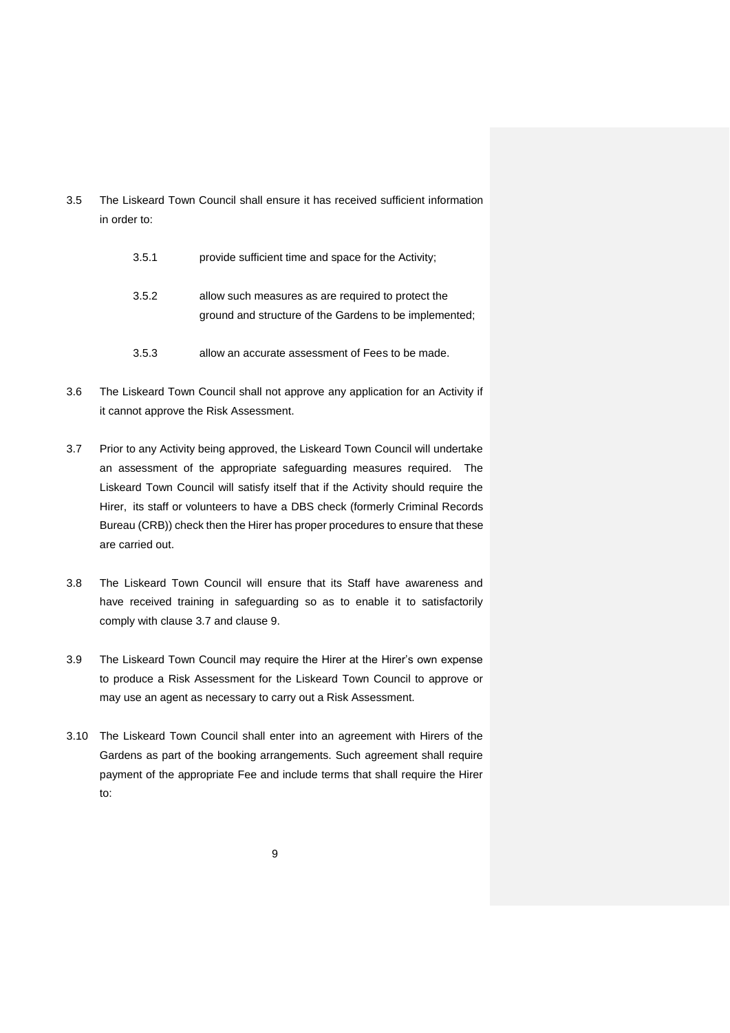- 3.5 The Liskeard Town Council shall ensure it has received sufficient information in order to:
	- 3.5.1 provide sufficient time and space for the Activity;
	- 3.5.2 allow such measures as are required to protect the ground and structure of the Gardens to be implemented;
	- 3.5.3 allow an accurate assessment of Fees to be made.
- 3.6 The Liskeard Town Council shall not approve any application for an Activity if it cannot approve the Risk Assessment.
- 3.7 Prior to any Activity being approved, the Liskeard Town Council will undertake an assessment of the appropriate safeguarding measures required. The Liskeard Town Council will satisfy itself that if the Activity should require the Hirer, its staff or volunteers to have a DBS check (formerly Criminal Records Bureau (CRB)) check then the Hirer has proper procedures to ensure that these are carried out.
- 3.8 The Liskeard Town Council will ensure that its Staff have awareness and have received training in safeguarding so as to enable it to satisfactorily comply with clause 3.7 and clause 9.
- 3.9 The Liskeard Town Council may require the Hirer at the Hirer's own expense to produce a Risk Assessment for the Liskeard Town Council to approve or may use an agent as necessary to carry out a Risk Assessment.
- 3.10 The Liskeard Town Council shall enter into an agreement with Hirers of the Gardens as part of the booking arrangements. Such agreement shall require payment of the appropriate Fee and include terms that shall require the Hirer to: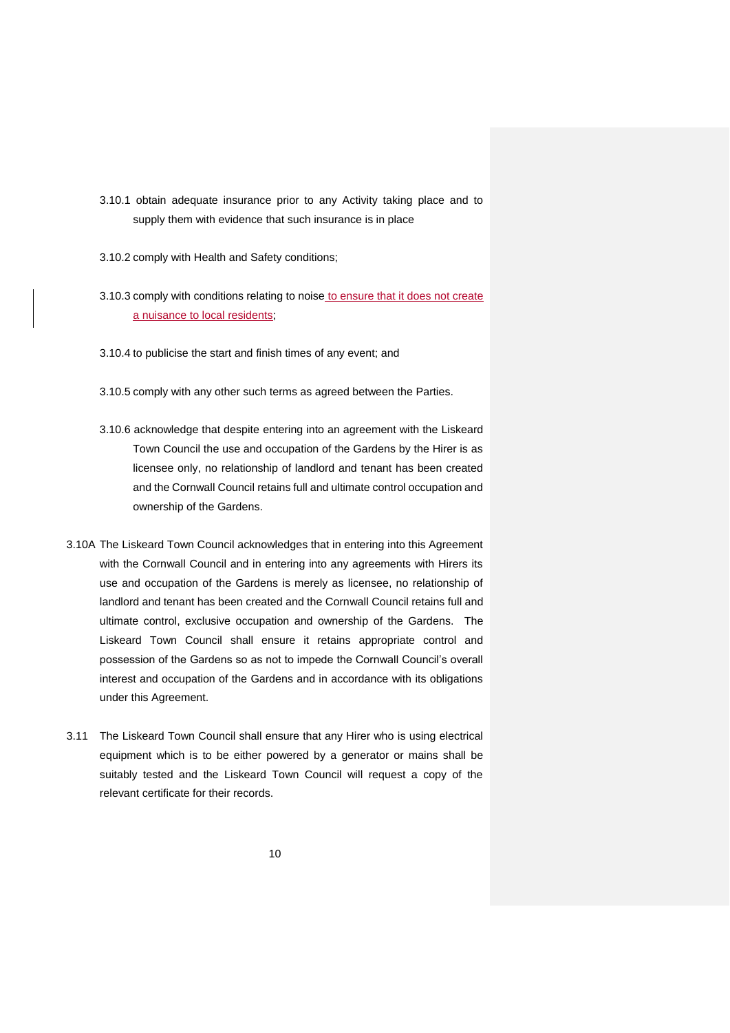- 3.10.1 obtain adequate insurance prior to any Activity taking place and to supply them with evidence that such insurance is in place
- 3.10.2 comply with Health and Safety conditions;
- 3.10.3 comply with conditions relating to noise to ensure that it does not create a nuisance to local residents;
- 3.10.4 to publicise the start and finish times of any event; and
- 3.10.5 comply with any other such terms as agreed between the Parties.
- 3.10.6 acknowledge that despite entering into an agreement with the Liskeard Town Council the use and occupation of the Gardens by the Hirer is as licensee only, no relationship of landlord and tenant has been created and the Cornwall Council retains full and ultimate control occupation and ownership of the Gardens.
- 3.10A The Liskeard Town Council acknowledges that in entering into this Agreement with the Cornwall Council and in entering into any agreements with Hirers its use and occupation of the Gardens is merely as licensee, no relationship of landlord and tenant has been created and the Cornwall Council retains full and ultimate control, exclusive occupation and ownership of the Gardens. The Liskeard Town Council shall ensure it retains appropriate control and possession of the Gardens so as not to impede the Cornwall Council's overall interest and occupation of the Gardens and in accordance with its obligations under this Agreement.
- 3.11 The Liskeard Town Council shall ensure that any Hirer who is using electrical equipment which is to be either powered by a generator or mains shall be suitably tested and the Liskeard Town Council will request a copy of the relevant certificate for their records.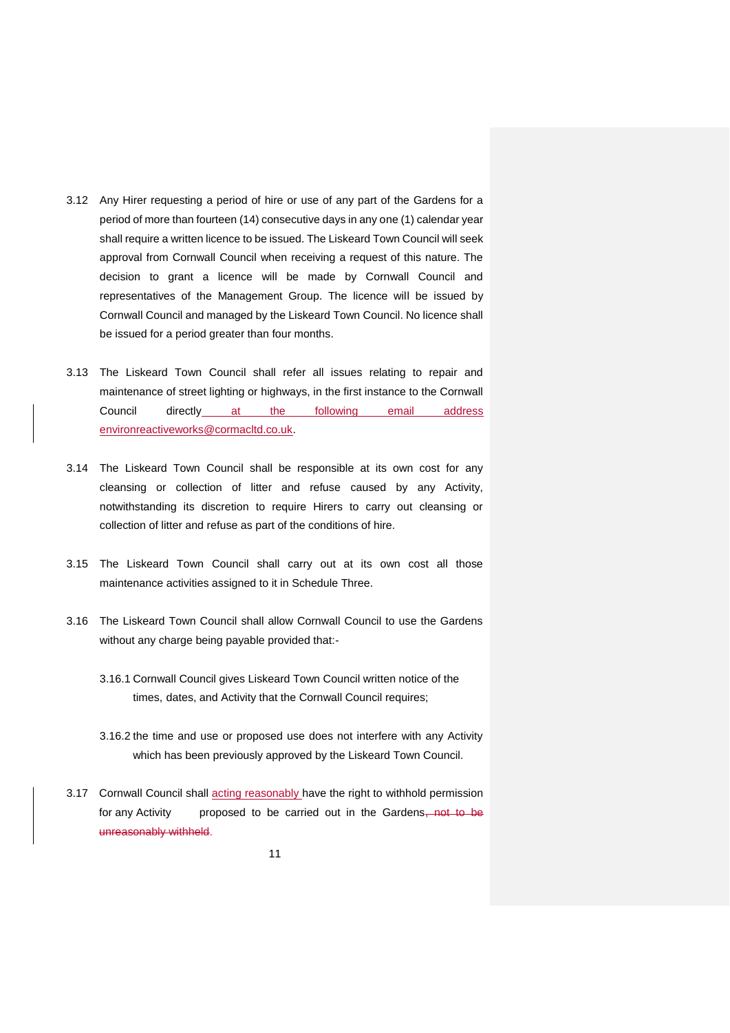- 3.12 Any Hirer requesting a period of hire or use of any part of the Gardens for a period of more than fourteen (14) consecutive days in any one (1) calendar year shall require a written licence to be issued. The Liskeard Town Council will seek approval from Cornwall Council when receiving a request of this nature. The decision to grant a licence will be made by Cornwall Council and representatives of the Management Group. The licence will be issued by Cornwall Council and managed by the Liskeard Town Council. No licence shall be issued for a period greater than four months.
- 3.13 The Liskeard Town Council shall refer all issues relating to repair and maintenance of street lighting or highways, in the first instance to the Cornwall Council directly at the following email address environreactiveworks@cormacltd.co.uk.
- 3.14 The Liskeard Town Council shall be responsible at its own cost for any cleansing or collection of litter and refuse caused by any Activity, notwithstanding its discretion to require Hirers to carry out cleansing or collection of litter and refuse as part of the conditions of hire.
- 3.15 The Liskeard Town Council shall carry out at its own cost all those maintenance activities assigned to it in Schedule Three.
- 3.16 The Liskeard Town Council shall allow Cornwall Council to use the Gardens without any charge being payable provided that:-
	- 3.16.1 Cornwall Council gives Liskeard Town Council written notice of the times, dates, and Activity that the Cornwall Council requires;
	- 3.16.2 the time and use or proposed use does not interfere with any Activity which has been previously approved by the Liskeard Town Council.
- 3.17 Cornwall Council shall acting reasonably have the right to withhold permission for any Activity proposed to be carried out in the Gardens, not to be unreasonably withheld.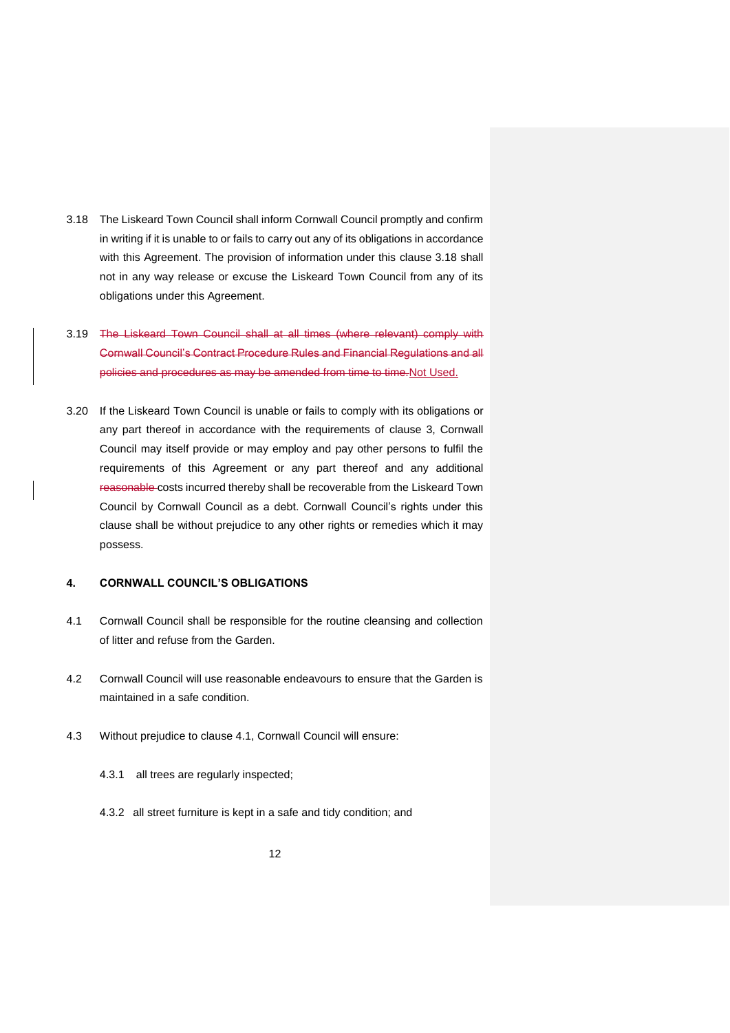- 3.18 The Liskeard Town Council shall inform Cornwall Council promptly and confirm in writing if it is unable to or fails to carry out any of its obligations in accordance with this Agreement. The provision of information under this clause 3.18 shall not in any way release or excuse the Liskeard Town Council from any of its obligations under this Agreement.
- 3.19 The Liskeard Town Council shall at all times (where relevant) comply with Cornwall Council's Contract Procedure Rules and Financial Regulations and all policies and procedures as may be amended from time to time.Not Used.
- 3.20 If the Liskeard Town Council is unable or fails to comply with its obligations or any part thereof in accordance with the requirements of clause 3, Cornwall Council may itself provide or may employ and pay other persons to fulfil the requirements of this Agreement or any part thereof and any additional reasonable costs incurred thereby shall be recoverable from the Liskeard Town Council by Cornwall Council as a debt. Cornwall Council's rights under this clause shall be without prejudice to any other rights or remedies which it may possess.

### **4. CORNWALL COUNCIL'S OBLIGATIONS**

- 4.1 Cornwall Council shall be responsible for the routine cleansing and collection of litter and refuse from the Garden.
- 4.2 Cornwall Council will use reasonable endeavours to ensure that the Garden is maintained in a safe condition.
- 4.3 Without prejudice to clause 4.1, Cornwall Council will ensure:
	- 4.3.1 all trees are regularly inspected;
	- 4.3.2 all street furniture is kept in a safe and tidy condition; and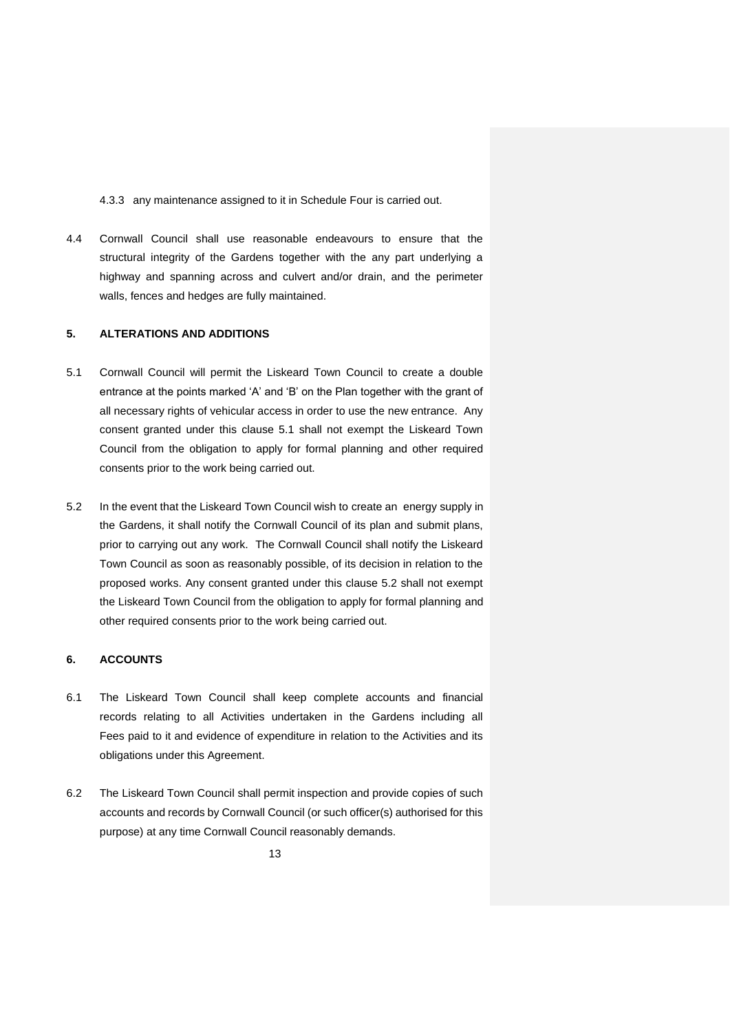4.3.3 any maintenance assigned to it in Schedule Four is carried out.

4.4 Cornwall Council shall use reasonable endeavours to ensure that the structural integrity of the Gardens together with the any part underlying a highway and spanning across and culvert and/or drain, and the perimeter walls, fences and hedges are fully maintained.

### **5. ALTERATIONS AND ADDITIONS**

- 5.1 Cornwall Council will permit the Liskeard Town Council to create a double entrance at the points marked 'A' and 'B' on the Plan together with the grant of all necessary rights of vehicular access in order to use the new entrance. Any consent granted under this clause 5.1 shall not exempt the Liskeard Town Council from the obligation to apply for formal planning and other required consents prior to the work being carried out.
- 5.2 In the event that the Liskeard Town Council wish to create an energy supply in the Gardens, it shall notify the Cornwall Council of its plan and submit plans, prior to carrying out any work. The Cornwall Council shall notify the Liskeard Town Council as soon as reasonably possible, of its decision in relation to the proposed works. Any consent granted under this clause 5.2 shall not exempt the Liskeard Town Council from the obligation to apply for formal planning and other required consents prior to the work being carried out.

# **6. ACCOUNTS**

- 6.1 The Liskeard Town Council shall keep complete accounts and financial records relating to all Activities undertaken in the Gardens including all Fees paid to it and evidence of expenditure in relation to the Activities and its obligations under this Agreement.
- 6.2 The Liskeard Town Council shall permit inspection and provide copies of such accounts and records by Cornwall Council (or such officer(s) authorised for this purpose) at any time Cornwall Council reasonably demands.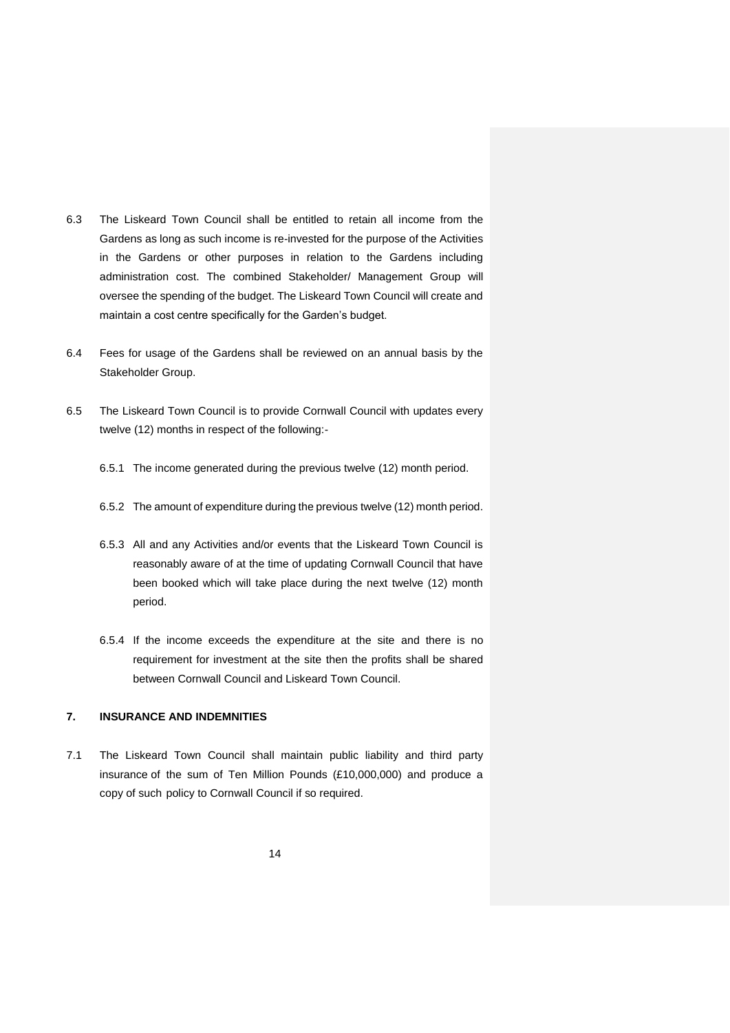- 6.3 The Liskeard Town Council shall be entitled to retain all income from the Gardens as long as such income is re-invested for the purpose of the Activities in the Gardens or other purposes in relation to the Gardens including administration cost. The combined Stakeholder/ Management Group will oversee the spending of the budget. The Liskeard Town Council will create and maintain a cost centre specifically for the Garden's budget.
- 6.4 Fees for usage of the Gardens shall be reviewed on an annual basis by the Stakeholder Group.
- 6.5 The Liskeard Town Council is to provide Cornwall Council with updates every twelve (12) months in respect of the following:-
	- 6.5.1 The income generated during the previous twelve (12) month period.
	- 6.5.2 The amount of expenditure during the previous twelve (12) month period.
	- 6.5.3 All and any Activities and/or events that the Liskeard Town Council is reasonably aware of at the time of updating Cornwall Council that have been booked which will take place during the next twelve (12) month period.
	- 6.5.4 If the income exceeds the expenditure at the site and there is no requirement for investment at the site then the profits shall be shared between Cornwall Council and Liskeard Town Council.

# **7. INSURANCE AND INDEMNITIES**

7.1 The Liskeard Town Council shall maintain public liability and third party insurance of the sum of Ten Million Pounds (£10,000,000) and produce a copy of such policy to Cornwall Council if so required.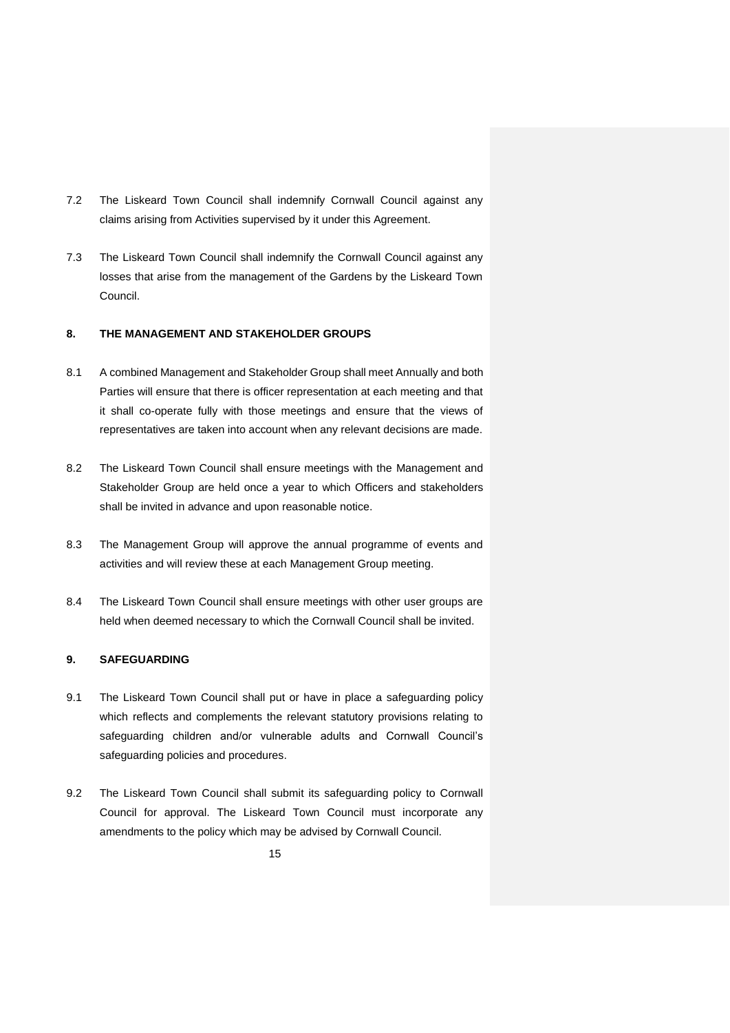- 7.2 The Liskeard Town Council shall indemnify Cornwall Council against any claims arising from Activities supervised by it under this Agreement.
- 7.3 The Liskeard Town Council shall indemnify the Cornwall Council against any losses that arise from the management of the Gardens by the Liskeard Town Council.

## **8. THE MANAGEMENT AND STAKEHOLDER GROUPS**

- 8.1 A combined Management and Stakeholder Group shall meet Annually and both Parties will ensure that there is officer representation at each meeting and that it shall co-operate fully with those meetings and ensure that the views of representatives are taken into account when any relevant decisions are made.
- 8.2 The Liskeard Town Council shall ensure meetings with the Management and Stakeholder Group are held once a year to which Officers and stakeholders shall be invited in advance and upon reasonable notice.
- 8.3 The Management Group will approve the annual programme of events and activities and will review these at each Management Group meeting.
- 8.4 The Liskeard Town Council shall ensure meetings with other user groups are held when deemed necessary to which the Cornwall Council shall be invited.

# **9. SAFEGUARDING**

- 9.1 The Liskeard Town Council shall put or have in place a safeguarding policy which reflects and complements the relevant statutory provisions relating to safeguarding children and/or vulnerable adults and Cornwall Council's safeguarding policies and procedures.
- 9.2 The Liskeard Town Council shall submit its safeguarding policy to Cornwall Council for approval. The Liskeard Town Council must incorporate any amendments to the policy which may be advised by Cornwall Council.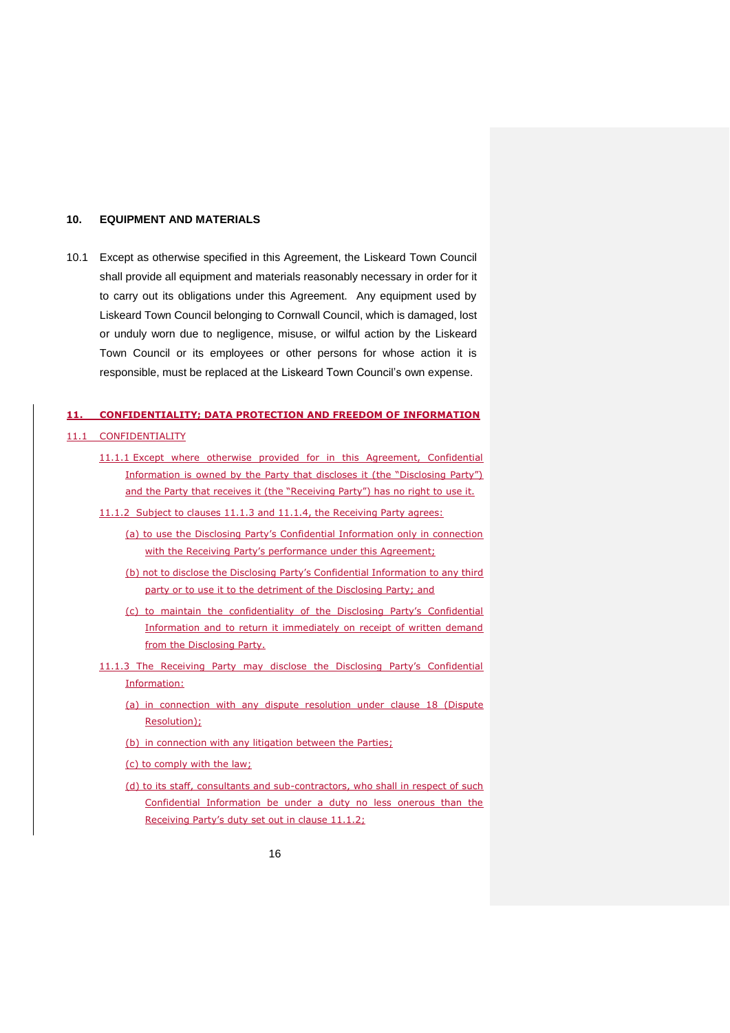#### **10. EQUIPMENT AND MATERIALS**

10.1 Except as otherwise specified in this Agreement, the Liskeard Town Council shall provide all equipment and materials reasonably necessary in order for it to carry out its obligations under this Agreement. Any equipment used by Liskeard Town Council belonging to Cornwall Council, which is damaged, lost or unduly worn due to negligence, misuse, or wilful action by the Liskeard Town Council or its employees or other persons for whose action it is responsible, must be replaced at the Liskeard Town Council's own expense.

# **11. CONFIDENTIALITY; DATA PROTECTION AND FREEDOM OF INFORMATION**

#### 11.1 CONFIDENTIALITY

- 11.1.1 Except where otherwise provided for in this Agreement, Confidential Information is owned by the Party that discloses it (the "Disclosing Party") and the Party that receives it (the "Receiving Party") has no right to use it.
- 11.1.2 Subject to clauses 11.1.3 and 11.1.4, the Receiving Party agrees:
	- (a) to use the Disclosing Party's Confidential Information only in connection with the Receiving Party's performance under this Agreement;
	- (b) not to disclose the Disclosing Party's Confidential Information to any third party or to use it to the detriment of the Disclosing Party; and
	- (c) to maintain the confidentiality of the Disclosing Party's Confidential Information and to return it immediately on receipt of written demand from the Disclosing Party.
- 11.1.3 The Receiving Party may disclose the Disclosing Party's Confidential Information:
	- (a) in connection with any dispute resolution under clause 18 (Dispute Resolution);
	- (b) in connection with any litigation between the Parties;
	- (c) to comply with the law;
	- (d) to its staff, consultants and sub-contractors, who shall in respect of such Confidential Information be under a duty no less onerous than the Receiving Party's duty set out in clause 11.1.2;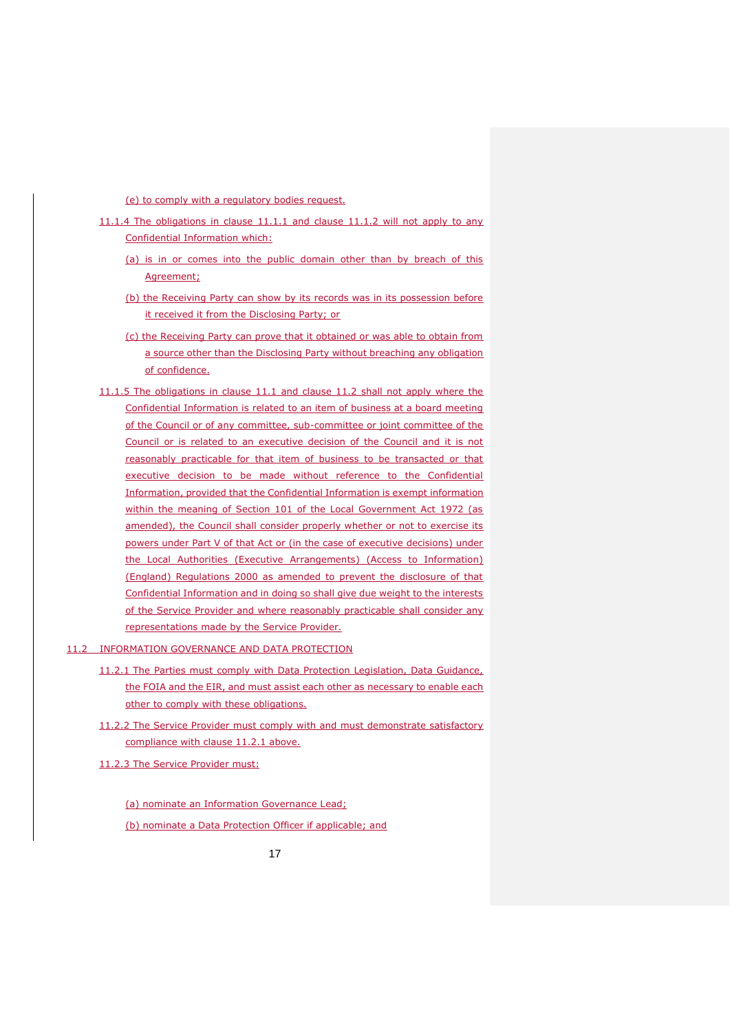(e) to comply with a regulatory bodies request.

- 11.1.4 The obligations in clause 11.1.1 and clause 11.1.2 will not apply to any Confidential Information which:
	- (a) is in or comes into the public domain other than by breach of this Agreement;
	- (b) the Receiving Party can show by its records was in its possession before it received it from the Disclosing Party; or
	- (c) the Receiving Party can prove that it obtained or was able to obtain from a source other than the Disclosing Party without breaching any obligation of confidence.
- 11.1.5 The obligations in clause 11.1 and clause 11.2 shall not apply where the Confidential Information is related to an item of business at a board meeting of the Council or of any committee, sub-committee or joint committee of the Council or is related to an executive decision of the Council and it is not reasonably practicable for that item of business to be transacted or that executive decision to be made without reference to the Confidential Information, provided that the Confidential Information is exempt information within the meaning of Section 101 of the Local Government Act 1972 (as amended), the Council shall consider properly whether or not to exercise its powers under Part V of that Act or (in the case of executive decisions) under the Local Authorities (Executive Arrangements) (Access to Information) (England) Regulations 2000 as amended to prevent the disclosure of that Confidential Information and in doing so shall give due weight to the interests of the Service Provider and where reasonably practicable shall consider any representations made by the Service Provider.
- 11.2 INFORMATION GOVERNANCE AND DATA PROTECTION
	- 11.2.1 The Parties must comply with Data Protection Legislation, Data Guidance, the FOIA and the EIR, and must assist each other as necessary to enable each other to comply with these obligations.
	- 11.2.2 The Service Provider must comply with and must demonstrate satisfactory compliance with clause 11.2.1 above.
	- 11.2.3 The Service Provider must:

(a) nominate an Information Governance Lead; (b) nominate a Data Protection Officer if applicable; and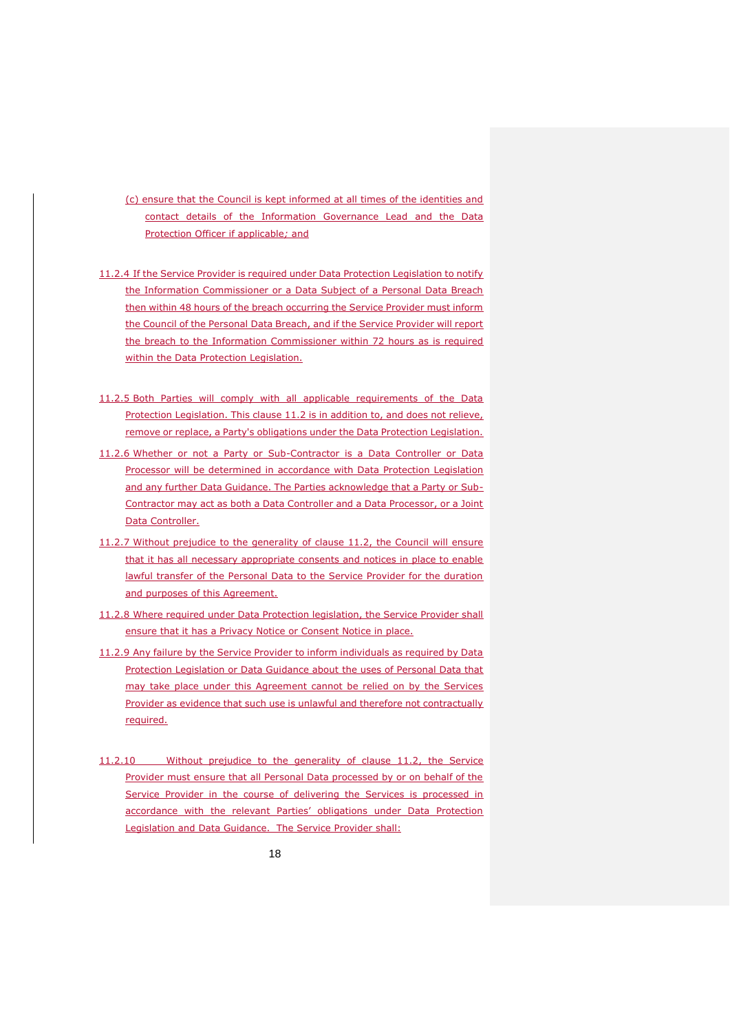(c) ensure that the Council is kept informed at all times of the identities and contact details of the Information Governance Lead and the Data Protection Officer if applicable*;* and

- 11.2.4 If the Service Provider is required under Data Protection Legislation to notify the Information Commissioner or a Data Subject of a Personal Data Breach then within 48 hours of the breach occurring the Service Provider must inform the Council of the Personal Data Breach, and if the Service Provider will report the breach to the Information Commissioner within 72 hours as is required within the Data Protection Legislation.
- 11.2.5 Both Parties will comply with all applicable requirements of the Data Protection Legislation. This clause 11.2 is in addition to, and does not relieve, remove or replace, a Party's obligations under the Data Protection Legislation.
- 11.2.6 Whether or not a Party or Sub-Contractor is a Data Controller or Data Processor will be determined in accordance with Data Protection Legislation and any further Data Guidance. The Parties acknowledge that a Party or Sub-Contractor may act as both a Data Controller and a Data Processor, or a Joint Data Controller.
- 11.2.7 Without prejudice to the generality of clause 11.2, the Council will ensure that it has all necessary appropriate consents and notices in place to enable lawful transfer of the Personal Data to the Service Provider for the duration and purposes of this Agreement.
- 11.2.8 Where required under Data Protection legislation, the Service Provider shall ensure that it has a Privacy Notice or Consent Notice in place.
- 11.2.9 Any failure by the Service Provider to inform individuals as required by Data Protection Legislation or Data Guidance about the uses of Personal Data that may take place under this Agreement cannot be relied on by the Services Provider as evidence that such use is unlawful and therefore not contractually required.
- 11.2.10 Without prejudice to the generality of clause 11.2, the Service Provider must ensure that all Personal Data processed by or on behalf of the Service Provider in the course of delivering the Services is processed in accordance with the relevant Parties' obligations under Data Protection Legislation and Data Guidance. The Service Provider shall: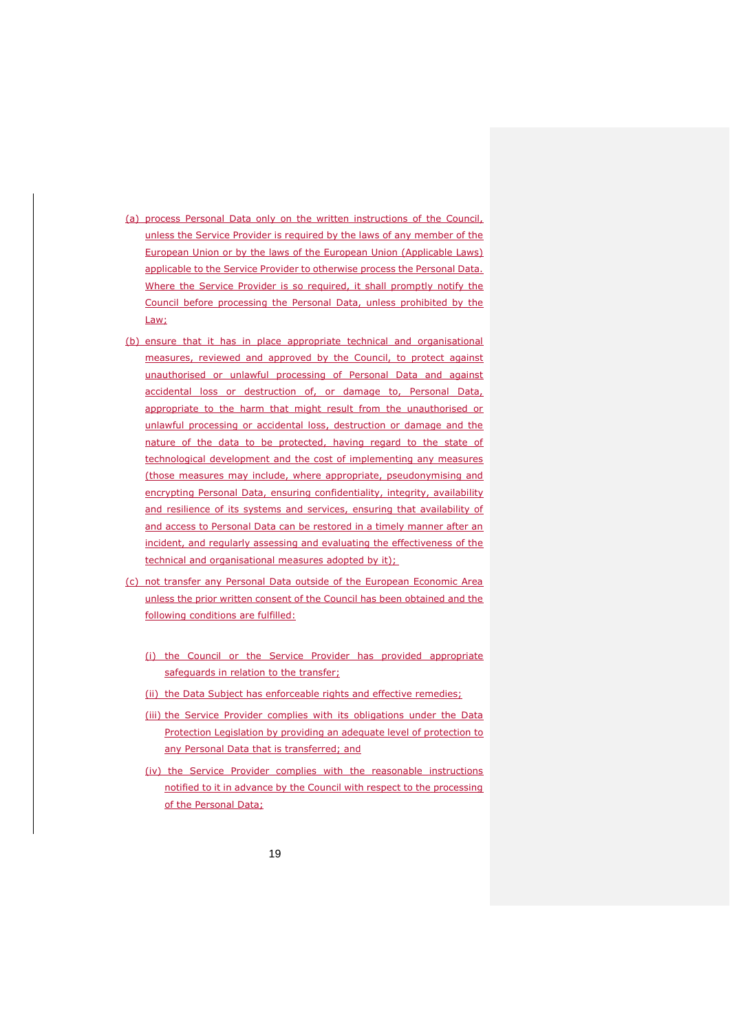- (a) process Personal Data only on the written instructions of the Council, unless the Service Provider is required by the laws of any member of the European Union or by the laws of the European Union (Applicable Laws) applicable to the Service Provider to otherwise process the Personal Data. Where the Service Provider is so required, it shall promptly notify the Council before processing the Personal Data, unless prohibited by the Law;
- (b) ensure that it has in place appropriate technical and organisational measures, reviewed and approved by the Council, to protect against unauthorised or unlawful processing of Personal Data and against accidental loss or destruction of, or damage to, Personal Data, appropriate to the harm that might result from the unauthorised or unlawful processing or accidental loss, destruction or damage and the nature of the data to be protected, having regard to the state of technological development and the cost of implementing any measures (those measures may include, where appropriate, pseudonymising and encrypting Personal Data, ensuring confidentiality, integrity, availability and resilience of its systems and services, ensuring that availability of and access to Personal Data can be restored in a timely manner after an incident, and regularly assessing and evaluating the effectiveness of the technical and organisational measures adopted by it);
- (c) not transfer any Personal Data outside of the European Economic Area unless the prior written consent of the Council has been obtained and the following conditions are fulfilled:
	- (i) the Council or the Service Provider has provided appropriate safequards in relation to the transfer;
	- (ii) the Data Subject has enforceable rights and effective remedies;
	- (iii) the Service Provider complies with its obligations under the Data Protection Legislation by providing an adequate level of protection to any Personal Data that is transferred; and
	- (iv) the Service Provider complies with the reasonable instructions notified to it in advance by the Council with respect to the processing of the Personal Data;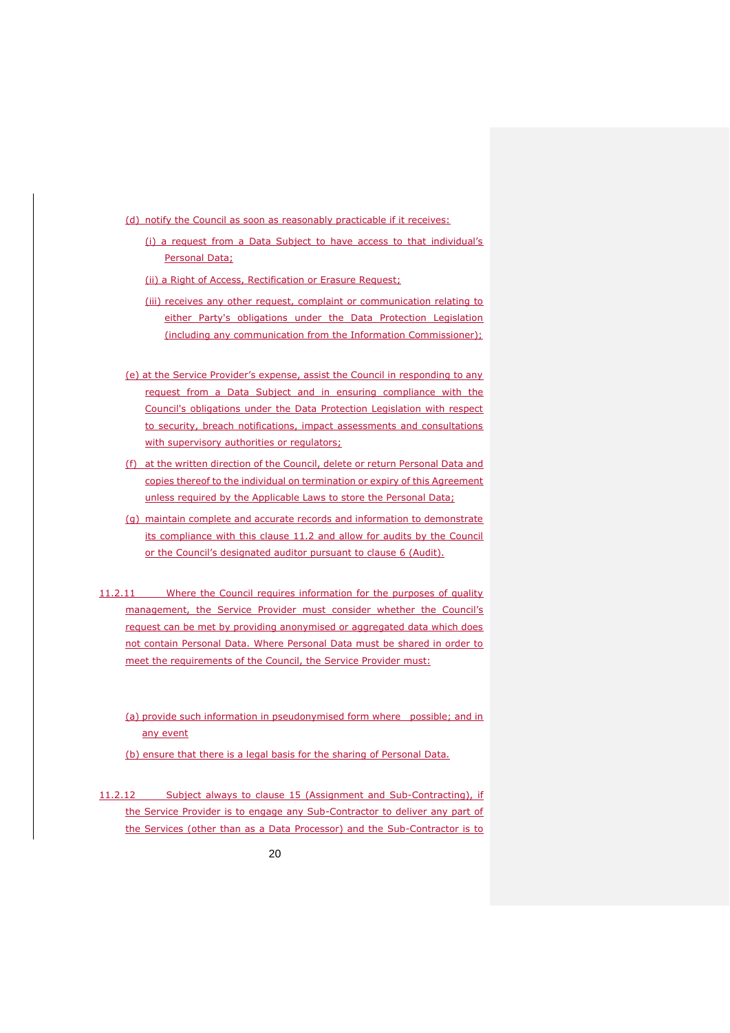(d) notify the Council as soon as reasonably practicable if it receives:

- (i) a request from a Data Subject to have access to that individual's Personal Data;
- (ii) a Right of Access, Rectification or Erasure Request;
- (iii) receives any other request, complaint or communication relating to either Party's obligations under the Data Protection Legislation (including any communication from the Information Commissioner);
- (e) at the Service Provider's expense, assist the Council in responding to any request from a Data Subject and in ensuring compliance with the Council's obligations under the Data Protection Legislation with respect to security, breach notifications, impact assessments and consultations with supervisory authorities or regulators;
- (f) at the written direction of the Council, delete or return Personal Data and copies thereof to the individual on termination or expiry of this Agreement unless required by the Applicable Laws to store the Personal Data;
- (g) maintain complete and accurate records and information to demonstrate its compliance with this clause 11.2 and allow for audits by the Council or the Council's designated auditor pursuant to clause 6 (Audit).
- 11.2.11 Where the Council requires information for the purposes of quality management, the Service Provider must consider whether the Council's request can be met by providing anonymised or aggregated data which does not contain Personal Data. Where Personal Data must be shared in order to meet the requirements of the Council, the Service Provider must:
	- (a) provide such information in pseudonymised form where possible; and in any event
	- (b) ensure that there is a legal basis for the sharing of Personal Data.
- 11.2.12 Subject always to clause 15 (Assignment and Sub-Contracting), if the Service Provider is to engage any Sub-Contractor to deliver any part of the Services (other than as a Data Processor) and the Sub-Contractor is to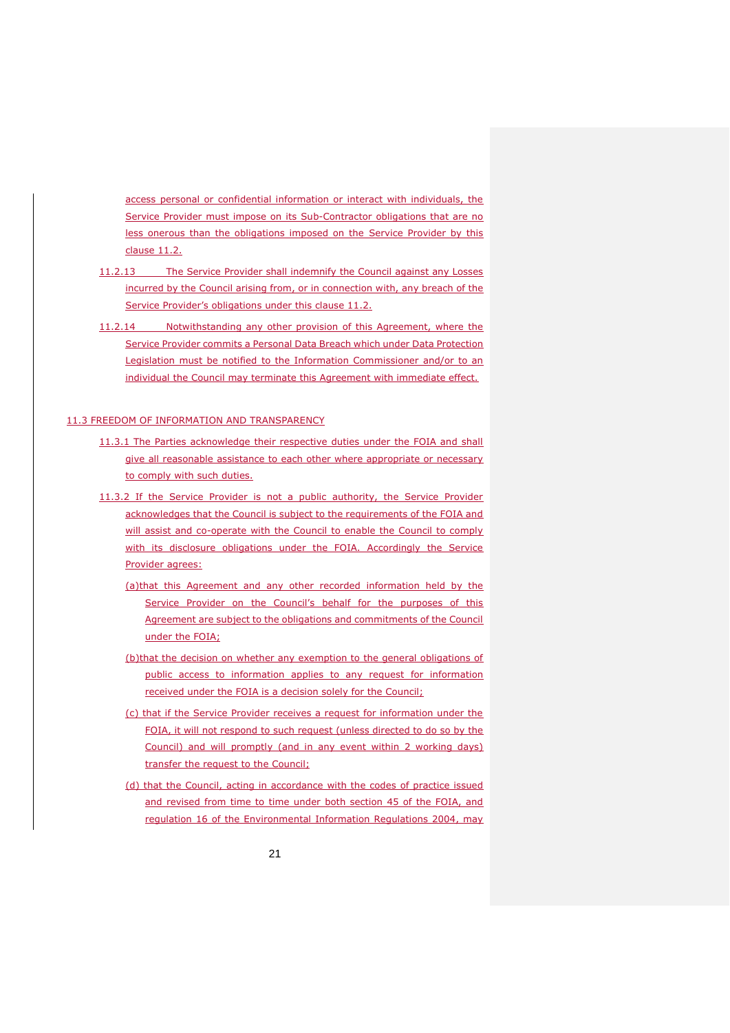access personal or confidential information or interact with individuals, the Service Provider must impose on its Sub-Contractor obligations that are no less onerous than the obligations imposed on the Service Provider by this clause 11.2.

- 11.2.13 The Service Provider shall indemnify the Council against any Losses incurred by the Council arising from, or in connection with, any breach of the Service Provider's obligations under this clause 11.2.
- 11.2.14 Notwithstanding any other provision of this Agreement, where the Service Provider commits a Personal Data Breach which under Data Protection Legislation must be notified to the Information Commissioner and/or to an individual the Council may terminate this Agreement with immediate effect.

#### 11.3 FREEDOM OF INFORMATION AND TRANSPARENCY

- 11.3.1 The Parties acknowledge their respective duties under the FOIA and shall give all reasonable assistance to each other where appropriate or necessary to comply with such duties.
- 11.3.2 If the Service Provider is not a public authority, the Service Provider acknowledges that the Council is subject to the requirements of the FOIA and will assist and co-operate with the Council to enable the Council to comply with its disclosure obligations under the FOIA. Accordingly the Service Provider agrees:
	- (a)that this Agreement and any other recorded information held by the Service Provider on the Council's behalf for the purposes of this Agreement are subject to the obligations and commitments of the Council under the FOIA;
	- (b)that the decision on whether any exemption to the general obligations of public access to information applies to any request for information received under the FOIA is a decision solely for the Council;
	- (c) that if the Service Provider receives a request for information under the FOIA, it will not respond to such request (unless directed to do so by the Council) and will promptly (and in any event within 2 working days) transfer the request to the Council;
	- (d) that the Council, acting in accordance with the codes of practice issued and revised from time to time under both section 45 of the FOIA, and regulation 16 of the Environmental Information Regulations 2004, may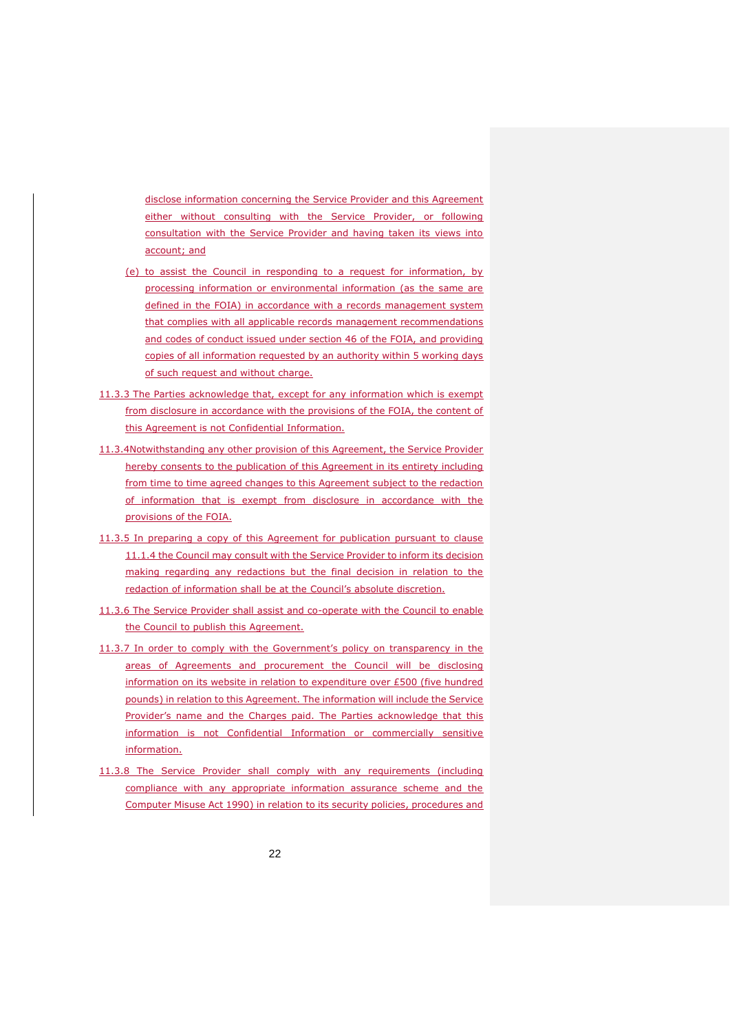disclose information concerning the Service Provider and this Agreement either without consulting with the Service Provider, or following consultation with the Service Provider and having taken its views into account; and

- (e) to assist the Council in responding to a request for information, by processing information or environmental information (as the same are defined in the FOIA) in accordance with a records management system that complies with all applicable records management recommendations and codes of conduct issued under section 46 of the FOIA, and providing copies of all information requested by an authority within 5 working days of such request and without charge.
- 11.3.3 The Parties acknowledge that, except for any information which is exempt from disclosure in accordance with the provisions of the FOIA, the content of this Agreement is not Confidential Information.
- 11.3.4Notwithstanding any other provision of this Agreement, the Service Provider hereby consents to the publication of this Agreement in its entirety including from time to time agreed changes to this Agreement subject to the redaction of information that is exempt from disclosure in accordance with the provisions of the FOIA.
- 11.3.5 In preparing a copy of this Agreement for publication pursuant to clause 11.1.4 the Council may consult with the Service Provider to inform its decision making regarding any redactions but the final decision in relation to the redaction of information shall be at the Council's absolute discretion.
- 11.3.6 The Service Provider shall assist and co-operate with the Council to enable the Council to publish this Agreement.
- 11.3.7 In order to comply with the Government's policy on transparency in the areas of Agreements and procurement the Council will be disclosing information on its website in relation to expenditure over £500 (five hundred pounds) in relation to this Agreement. The information will include the Service Provider's name and the Charges paid. The Parties acknowledge that this information is not Confidential Information or commercially sensitive information.
- 11.3.8 The Service Provider shall comply with any requirements (including compliance with any appropriate information assurance scheme and the Computer Misuse Act 1990) in relation to its security policies, procedures and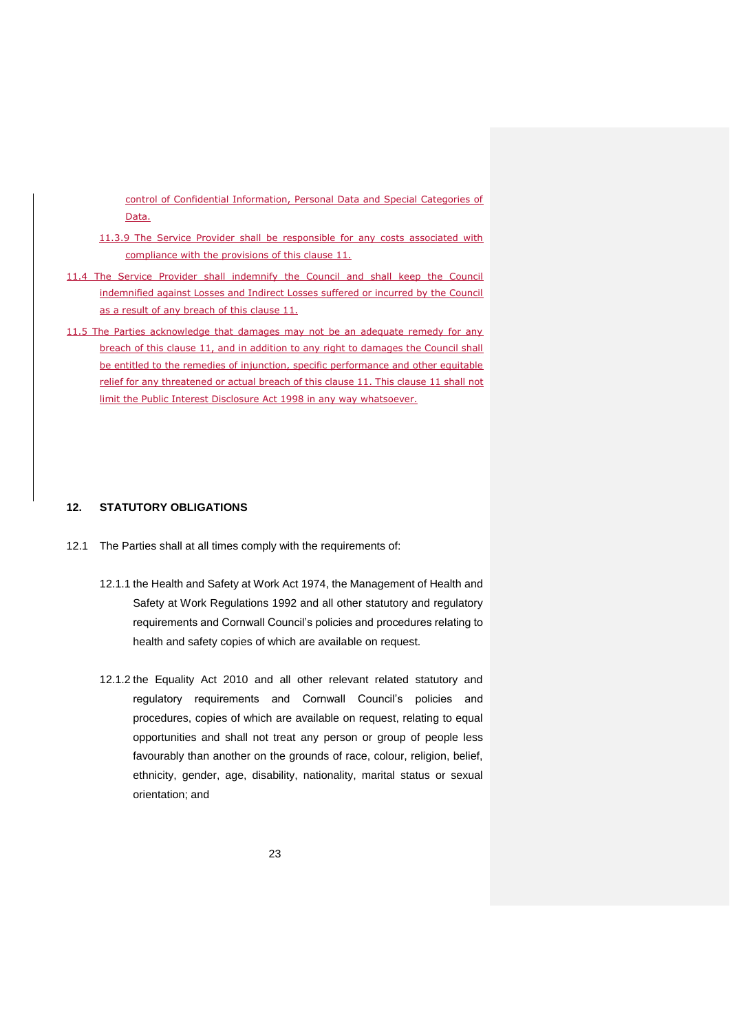control of Confidential Information, Personal Data and Special Categories of Data.

- 11.3.9 The Service Provider shall be responsible for any costs associated with compliance with the provisions of this clause 11.
- 11.4 The Service Provider shall indemnify the Council and shall keep the Council indemnified against Losses and Indirect Losses suffered or incurred by the Council as a result of any breach of this clause 11.
- 11.5 The Parties acknowledge that damages may not be an adequate remedy for any breach of this clause 11, and in addition to any right to damages the Council shall be entitled to the remedies of injunction, specific performance and other equitable relief for any threatened or actual breach of this clause 11. This clause 11 shall not limit the Public Interest Disclosure Act 1998 in any way whatsoever.

### **12. STATUTORY OBLIGATIONS**

- 12.1 The Parties shall at all times comply with the requirements of:
	- 12.1.1 the Health and Safety at Work Act 1974, the Management of Health and Safety at Work Regulations 1992 and all other statutory and regulatory requirements and Cornwall Council's policies and procedures relating to health and safety copies of which are available on request.
	- 12.1.2 the Equality Act 2010 and all other relevant related statutory and regulatory requirements and Cornwall Council's policies and procedures, copies of which are available on request, relating to equal opportunities and shall not treat any person or group of people less favourably than another on the grounds of race, colour, religion, belief, ethnicity, gender, age, disability, nationality, marital status or sexual orientation; and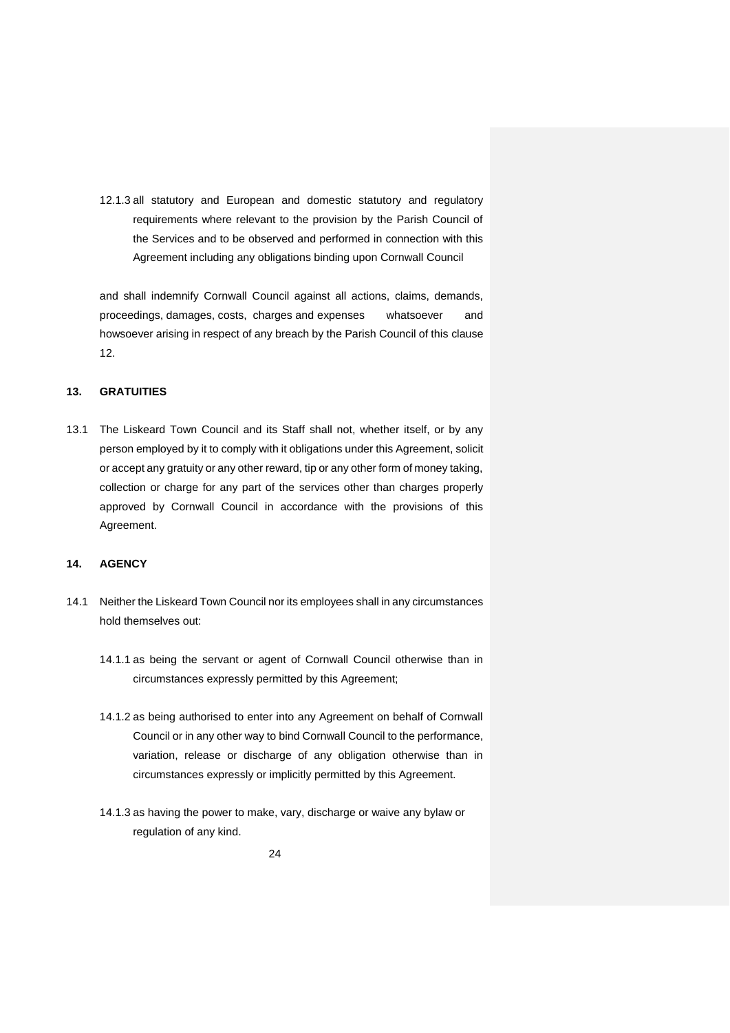12.1.3 all statutory and European and domestic statutory and regulatory requirements where relevant to the provision by the Parish Council of the Services and to be observed and performed in connection with this Agreement including any obligations binding upon Cornwall Council

and shall indemnify Cornwall Council against all actions, claims, demands, proceedings, damages, costs, charges and expenses whatsoever and howsoever arising in respect of any breach by the Parish Council of this clause 12.

# **13. GRATUITIES**

13.1 The Liskeard Town Council and its Staff shall not, whether itself, or by any person employed by it to comply with it obligations under this Agreement, solicit or accept any gratuity or any other reward, tip or any other form of money taking, collection or charge for any part of the services other than charges properly approved by Cornwall Council in accordance with the provisions of this Agreement.

### **14. AGENCY**

- 14.1 Neither the Liskeard Town Council nor its employees shall in any circumstances hold themselves out:
	- 14.1.1 as being the servant or agent of Cornwall Council otherwise than in circumstances expressly permitted by this Agreement;
	- 14.1.2 as being authorised to enter into any Agreement on behalf of Cornwall Council or in any other way to bind Cornwall Council to the performance, variation, release or discharge of any obligation otherwise than in circumstances expressly or implicitly permitted by this Agreement.
	- 14.1.3 as having the power to make, vary, discharge or waive any bylaw or regulation of any kind.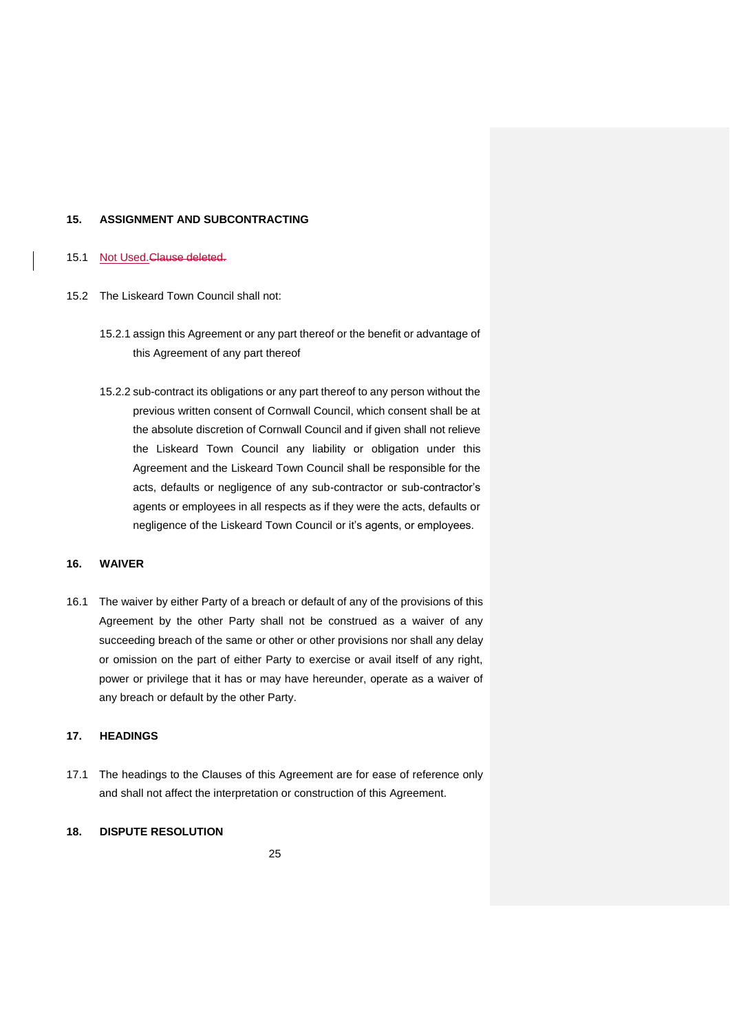#### **15. ASSIGNMENT AND SUBCONTRACTING**

#### 15.1 Not Used. Clause deleted.

- 15.2 The Liskeard Town Council shall not:
	- 15.2.1 assign this Agreement or any part thereof or the benefit or advantage of this Agreement of any part thereof
	- 15.2.2 sub-contract its obligations or any part thereof to any person without the previous written consent of Cornwall Council, which consent shall be at the absolute discretion of Cornwall Council and if given shall not relieve the Liskeard Town Council any liability or obligation under this Agreement and the Liskeard Town Council shall be responsible for the acts, defaults or negligence of any sub-contractor or sub-contractor's agents or employees in all respects as if they were the acts, defaults or negligence of the Liskeard Town Council or it's agents, or employees.

### **16. WAIVER**

16.1 The waiver by either Party of a breach or default of any of the provisions of this Agreement by the other Party shall not be construed as a waiver of any succeeding breach of the same or other or other provisions nor shall any delay or omission on the part of either Party to exercise or avail itself of any right, power or privilege that it has or may have hereunder, operate as a waiver of any breach or default by the other Party.

# **17. HEADINGS**

17.1 The headings to the Clauses of this Agreement are for ease of reference only and shall not affect the interpretation or construction of this Agreement.

# **18. DISPUTE RESOLUTION**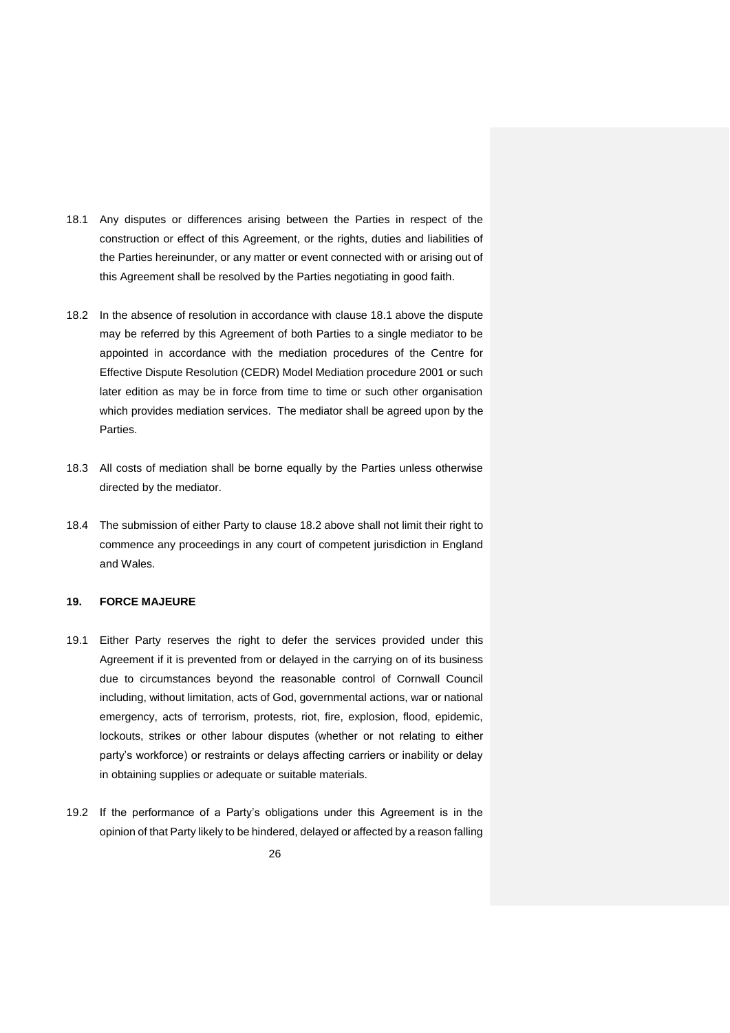- 18.1 Any disputes or differences arising between the Parties in respect of the construction or effect of this Agreement, or the rights, duties and liabilities of the Parties hereinunder, or any matter or event connected with or arising out of this Agreement shall be resolved by the Parties negotiating in good faith.
- 18.2 In the absence of resolution in accordance with clause 18.1 above the dispute may be referred by this Agreement of both Parties to a single mediator to be appointed in accordance with the mediation procedures of the Centre for Effective Dispute Resolution (CEDR) Model Mediation procedure 2001 or such later edition as may be in force from time to time or such other organisation which provides mediation services. The mediator shall be agreed upon by the Parties.
- 18.3 All costs of mediation shall be borne equally by the Parties unless otherwise directed by the mediator.
- 18.4 The submission of either Party to clause 18.2 above shall not limit their right to commence any proceedings in any court of competent jurisdiction in England and Wales.

# **19. FORCE MAJEURE**

- 19.1 Either Party reserves the right to defer the services provided under this Agreement if it is prevented from or delayed in the carrying on of its business due to circumstances beyond the reasonable control of Cornwall Council including, without limitation, acts of God, governmental actions, war or national emergency, acts of terrorism, protests, riot, fire, explosion, flood, epidemic, lockouts, strikes or other labour disputes (whether or not relating to either party's workforce) or restraints or delays affecting carriers or inability or delay in obtaining supplies or adequate or suitable materials.
- 19.2 If the performance of a Party's obligations under this Agreement is in the opinion of that Party likely to be hindered, delayed or affected by a reason falling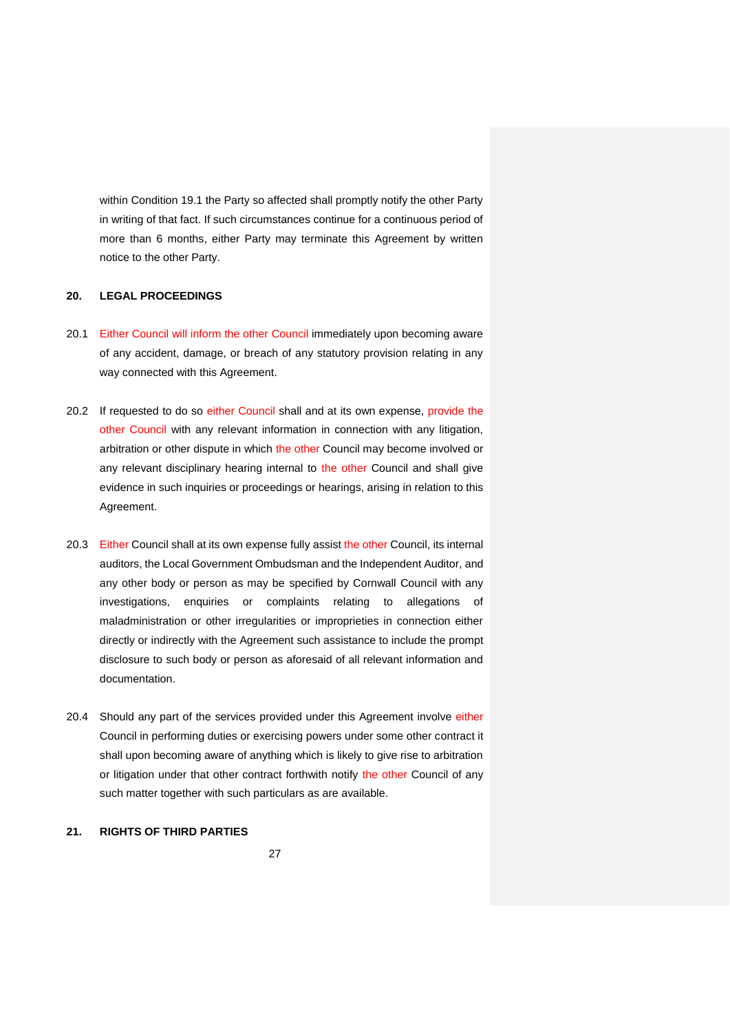within Condition 19.1 the Party so affected shall promptly notify the other Party in writing of that fact. If such circumstances continue for a continuous period of more than 6 months, either Party may terminate this Agreement by written notice to the other Party.

#### **20. LEGAL PROCEEDINGS**

- 20.1 Either Council will inform the other Council immediately upon becoming aware of any accident, damage, or breach of any statutory provision relating in any way connected with this Agreement.
- 20.2 If requested to do so either Council shall and at its own expense, provide the other Council with any relevant information in connection with any litigation, arbitration or other dispute in which the other Council may become involved or any relevant disciplinary hearing internal to the other Council and shall give evidence in such inquiries or proceedings or hearings, arising in relation to this Agreement.
- 20.3 Either Council shall at its own expense fully assist the other Council, its internal auditors, the Local Government Ombudsman and the Independent Auditor, and any other body or person as may be specified by Cornwall Council with any investigations, enquiries or complaints relating to allegations of maladministration or other irregularities or improprieties in connection either directly or indirectly with the Agreement such assistance to include the prompt disclosure to such body or person as aforesaid of all relevant information and documentation.
- 20.4 Should any part of the services provided under this Agreement involve either Council in performing duties or exercising powers under some other contract it shall upon becoming aware of anything which is likely to give rise to arbitration or litigation under that other contract forthwith notify the other Council of any such matter together with such particulars as are available.

# **21. RIGHTS OF THIRD PARTIES**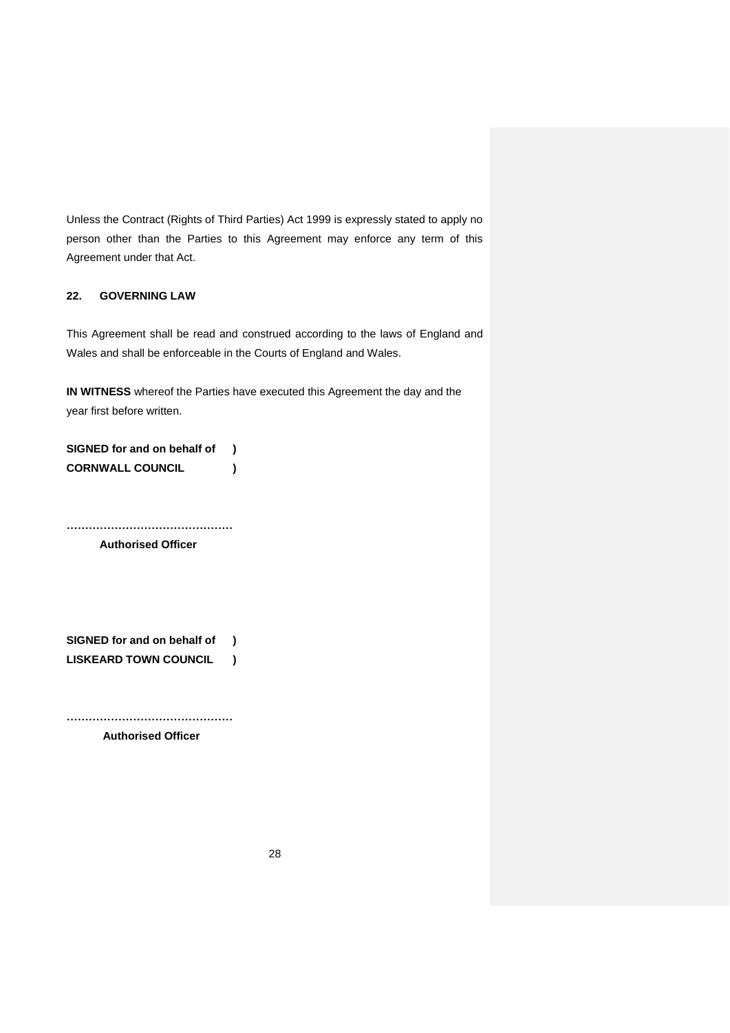Unless the Contract (Rights of Third Parties) Act 1999 is expressly stated to apply no person other than the Parties to this Agreement may enforce any term of this Agreement under that Act.

# **22. GOVERNING LAW**

This Agreement shall be read and construed according to the laws of England and Wales and shall be enforceable in the Courts of England and Wales.

**IN WITNESS** whereof the Parties have executed this Agreement the day and the year first before written.

**SIGNED for and on behalf of ) CORNWALL COUNCIL )**

**………………………………………**

**Authorised Officer**

**SIGNED for and on behalf of ) LISKEARD TOWN COUNCIL )**

**……………………………………… Authorised Officer**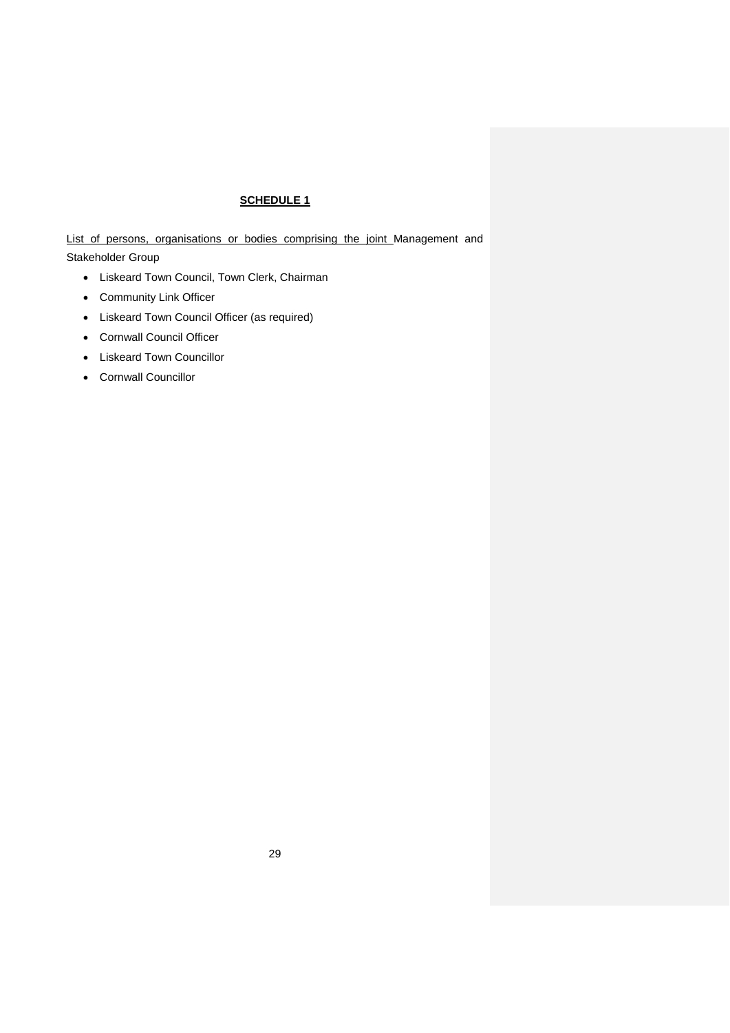# **SCHEDULE 1**

List of persons, organisations or bodies comprising the joint Management and Stakeholder Group

- Liskeard Town Council, Town Clerk, Chairman
- Community Link Officer
- Liskeard Town Council Officer (as required)
- Cornwall Council Officer
- Liskeard Town Councillor
- Cornwall Councillor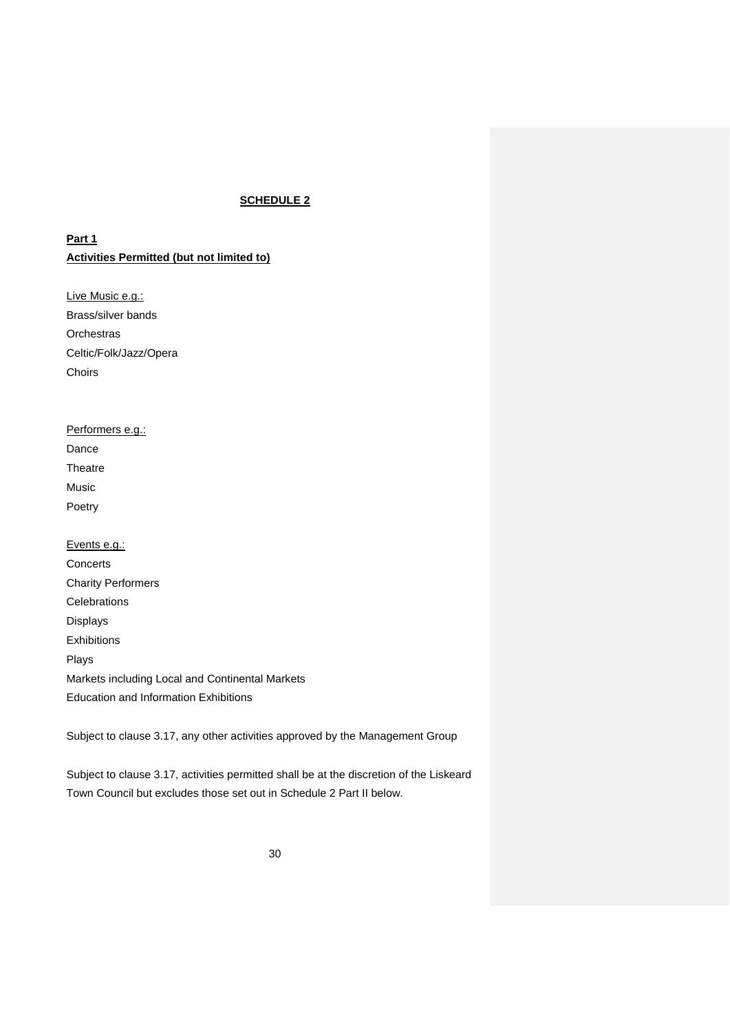# **SCHEDULE 2**

**Part 1 Activities Permitted (but not limited to)**

Live Music e.g.: Brass/silver bands **Orchestras** Celtic/Folk/Jazz/Opera Choirs

| Performers e.g.: |  |
|------------------|--|
| Dance            |  |
| Theatre          |  |
| Music            |  |
| Poetry           |  |
|                  |  |

Events e.g.: **Concerts** Charity Performers **Celebrations** Displays Exhibitions Plays Markets including Local and Continental Markets Education and Information Exhibitions

Subject to clause 3.17, any other activities approved by the Management Group

Subject to clause 3.17, activities permitted shall be at the discretion of the Liskeard Town Council but excludes those set out in Schedule 2 Part II below.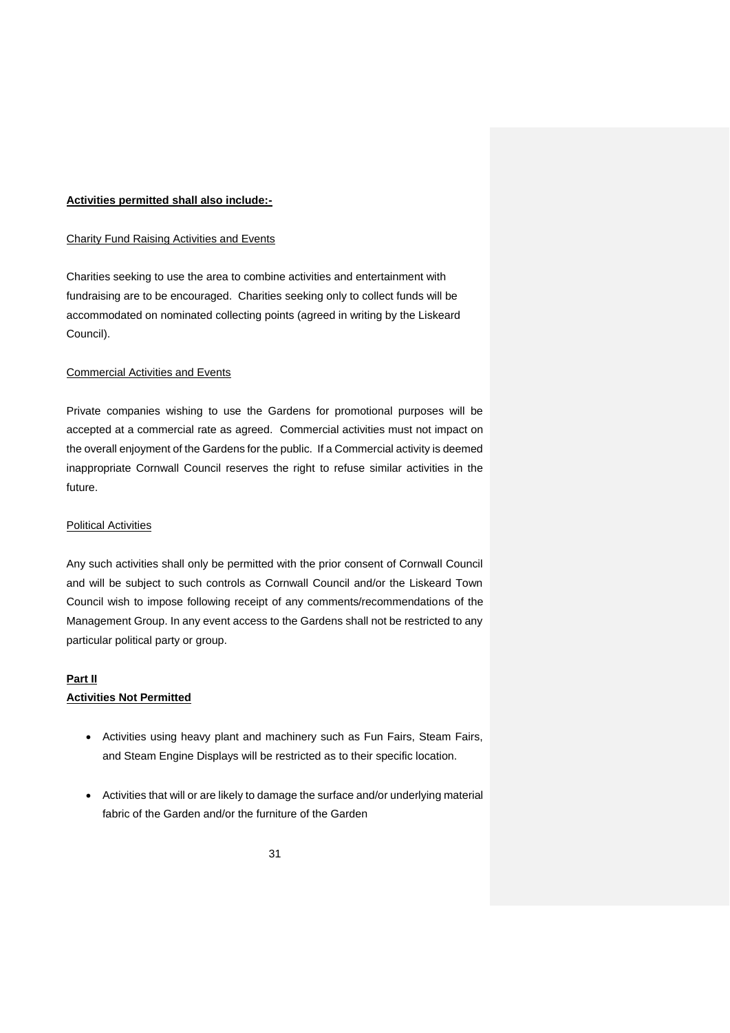# **Activities permitted shall also include:-**

# Charity Fund Raising Activities and Events

Charities seeking to use the area to combine activities and entertainment with fundraising are to be encouraged. Charities seeking only to collect funds will be accommodated on nominated collecting points (agreed in writing by the Liskeard Council).

### Commercial Activities and Events

Private companies wishing to use the Gardens for promotional purposes will be accepted at a commercial rate as agreed. Commercial activities must not impact on the overall enjoyment of the Gardens for the public. If a Commercial activity is deemed inappropriate Cornwall Council reserves the right to refuse similar activities in the future.

#### **Political Activities**

Any such activities shall only be permitted with the prior consent of Cornwall Council and will be subject to such controls as Cornwall Council and/or the Liskeard Town Council wish to impose following receipt of any comments/recommendations of the Management Group. In any event access to the Gardens shall not be restricted to any particular political party or group.

#### **Part II**

### **Activities Not Permitted**

- Activities using heavy plant and machinery such as Fun Fairs, Steam Fairs, and Steam Engine Displays will be restricted as to their specific location.
- Activities that will or are likely to damage the surface and/or underlying material fabric of the Garden and/or the furniture of the Garden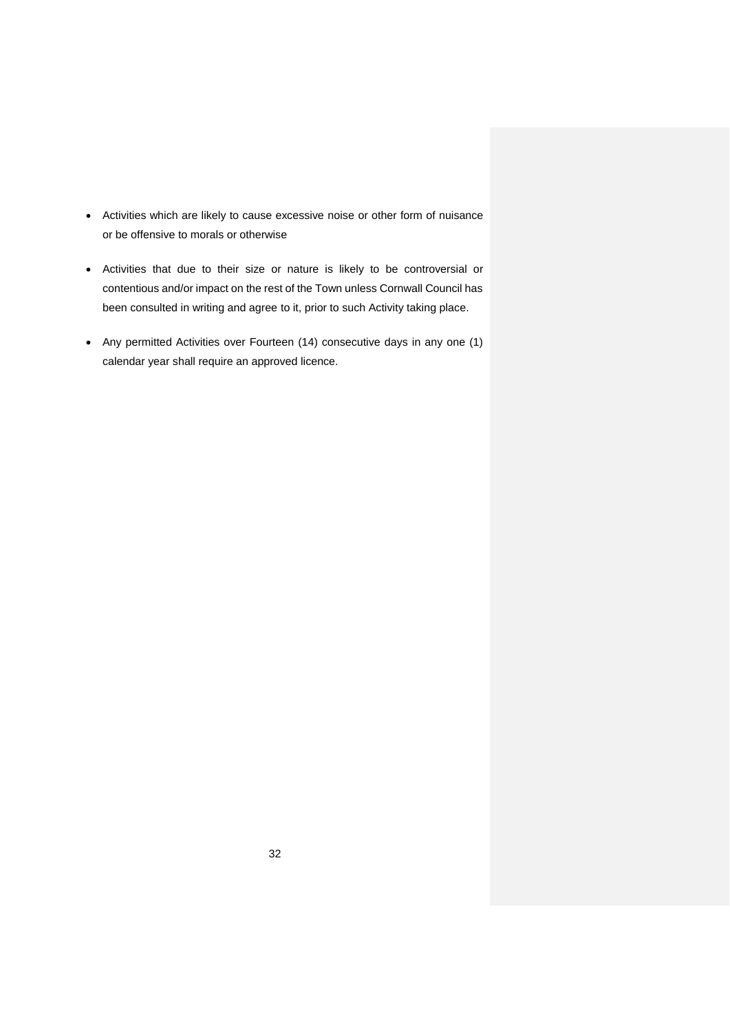- Activities which are likely to cause excessive noise or other form of nuisance or be offensive to morals or otherwise
- Activities that due to their size or nature is likely to be controversial or contentious and/or impact on the rest of the Town unless Cornwall Council has been consulted in writing and agree to it, prior to such Activity taking place.
- Any permitted Activities over Fourteen (14) consecutive days in any one (1) calendar year shall require an approved licence.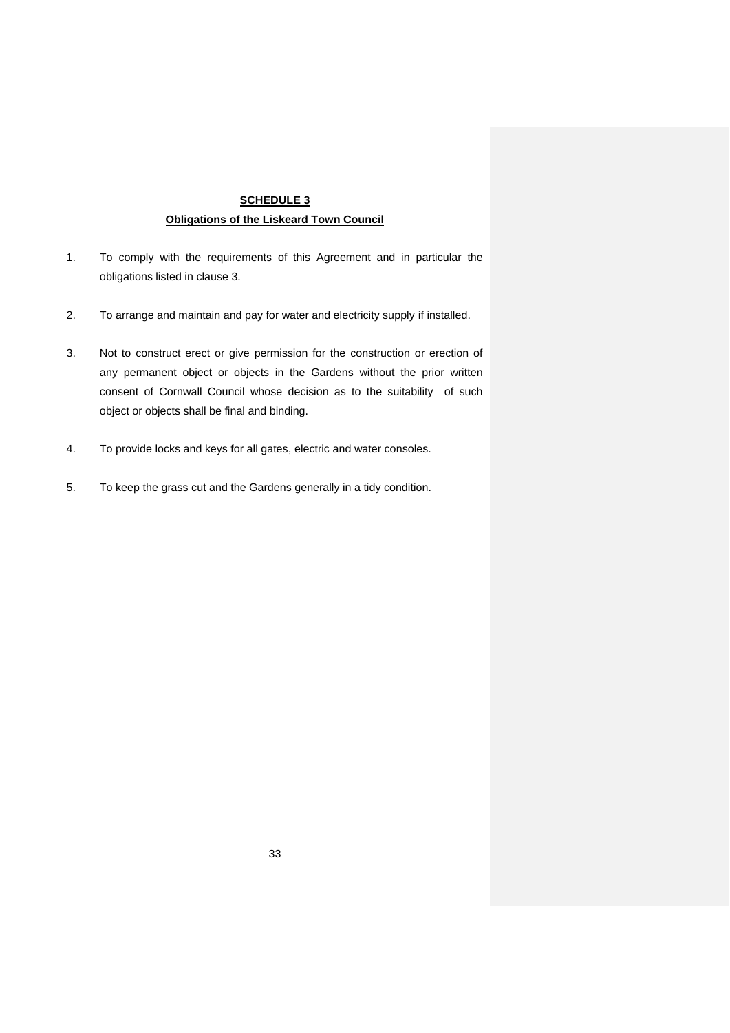# **SCHEDULE 3 Obligations of the Liskeard Town Council**

- 1. To comply with the requirements of this Agreement and in particular the obligations listed in clause 3.
- 2. To arrange and maintain and pay for water and electricity supply if installed.
- 3. Not to construct erect or give permission for the construction or erection of any permanent object or objects in the Gardens without the prior written consent of Cornwall Council whose decision as to the suitability of such object or objects shall be final and binding.
- 4. To provide locks and keys for all gates, electric and water consoles.
- 5. To keep the grass cut and the Gardens generally in a tidy condition.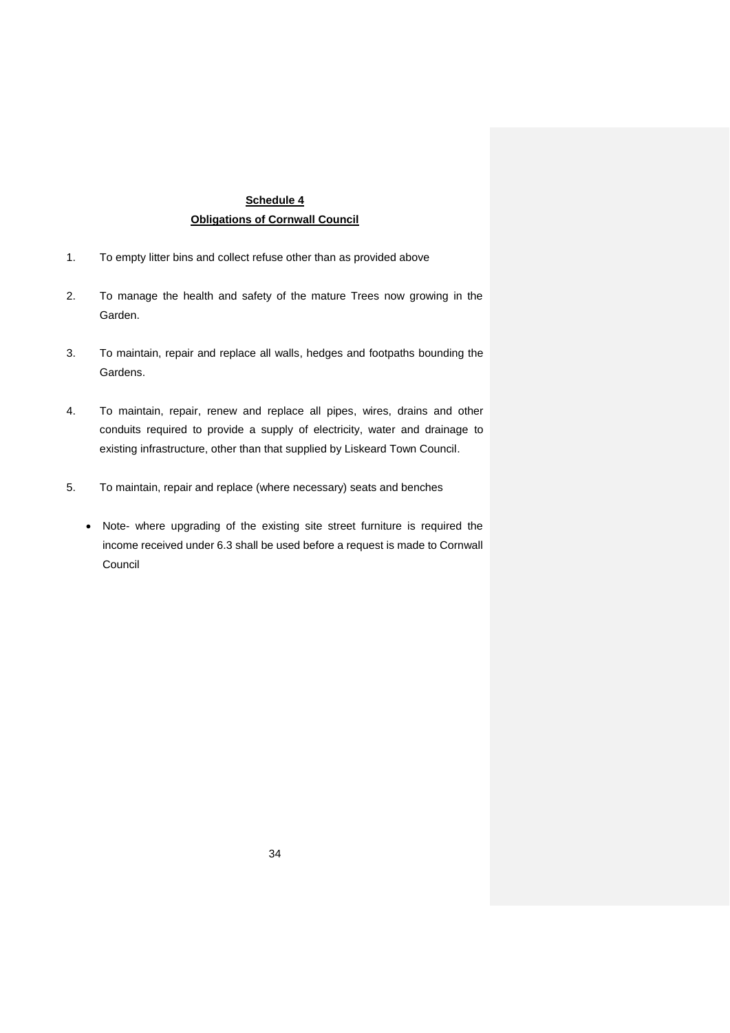# **Schedule 4 Obligations of Cornwall Council**

- 1. To empty litter bins and collect refuse other than as provided above
- 2. To manage the health and safety of the mature Trees now growing in the Garden.
- 3. To maintain, repair and replace all walls, hedges and footpaths bounding the Gardens.
- 4. To maintain, repair, renew and replace all pipes, wires, drains and other conduits required to provide a supply of electricity, water and drainage to existing infrastructure, other than that supplied by Liskeard Town Council.
- 5. To maintain, repair and replace (where necessary) seats and benches
	- Note- where upgrading of the existing site street furniture is required the income received under 6.3 shall be used before a request is made to Cornwall Council